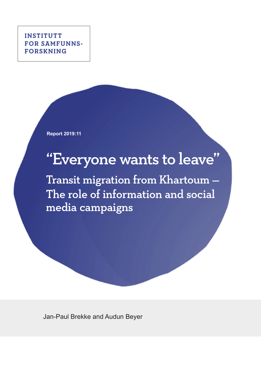**INSTITUTT FOR SAMFUNNS-FORSKNING**

**Report 2019:11**

# "Everyone wants to leave"

Transit migration from Khartoum — The role of information and social media campaigns

Jan-Paul Brekke and Audun Beyer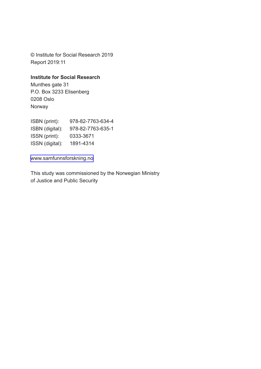© Institute for Social Research 2019 Report 2019:11

#### **Institute for Social Research**

Munthes gate 31 P.O. Box 3233 Elisenberg 0208 Oslo Norway

| 978-82-7763-634-4 |
|-------------------|
| 978-82-7763-635-1 |
| 0333-3671         |
| 1891-4314         |
|                   |

[www.samfunnsforskning.no](http://www.samfunnsforskning.no)

This study was commissioned by the Norwegian Ministry of Justice and Public Security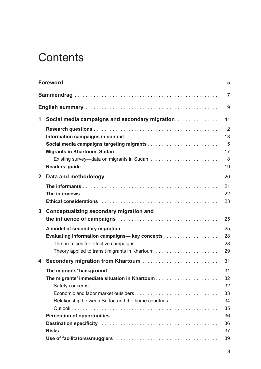# **Contents**

|              |                                                                                                 | 5                                      |
|--------------|-------------------------------------------------------------------------------------------------|----------------------------------------|
|              |                                                                                                 | 7                                      |
|              |                                                                                                 | 9                                      |
| 1            | Social media campaigns and secondary migration                                                  | 11                                     |
|              |                                                                                                 | 12<br>13<br>15<br>17<br>18<br>19       |
| $\mathbf{2}$ |                                                                                                 | 20                                     |
|              |                                                                                                 | 21<br>22<br>23                         |
| 3            | Conceptualizing secondary migration and                                                         |                                        |
|              |                                                                                                 | 25                                     |
|              | Evaluating information campaigns-key concepts<br>Theory applied to transit migrants in Khartoum | 25<br>28<br>28<br>29                   |
| 4            |                                                                                                 | 31                                     |
|              | Relationship between Sudan and the home countries                                               | 31<br>32<br>32<br>33<br>34<br>35<br>36 |
|              |                                                                                                 | 36                                     |
|              |                                                                                                 | 37<br>39                               |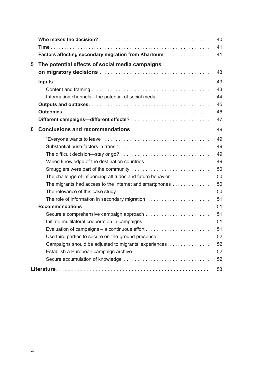|   |                                                            | 40 |
|---|------------------------------------------------------------|----|
|   |                                                            | 41 |
|   | Factors affecting secondary migration from Khartoum        | 41 |
| 5 | The potential effects of social media campaigns            |    |
|   |                                                            | 43 |
|   |                                                            | 43 |
|   |                                                            | 43 |
|   |                                                            | 44 |
|   |                                                            | 45 |
|   |                                                            | 46 |
|   |                                                            | 47 |
| 6 |                                                            | 49 |
|   |                                                            | 49 |
|   |                                                            | 49 |
|   |                                                            | 49 |
|   |                                                            | 49 |
|   |                                                            | 50 |
|   | The challenge of influencing attitudes and future behavior | 50 |
|   | The migrants had access to the Internet and smartphones    | 50 |
|   |                                                            | 50 |
|   | The role of information in secondary migration             | 51 |
|   |                                                            | 51 |
|   | Secure a comprehensive campaign approach                   | 51 |
|   | Initiate multilateral cooperation in campaigns             | 51 |
|   |                                                            | 51 |
|   | Use third parties to secure on-the-ground presence         | 52 |
|   | Campaigns should be adjusted to migrants' experiences      | 52 |
|   | Establish a European campaign archive                      | 52 |
|   |                                                            | 52 |
|   |                                                            | 53 |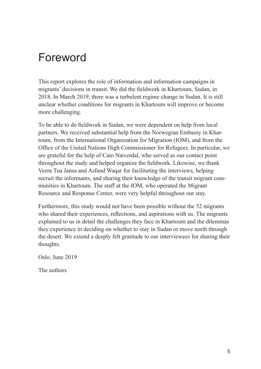# <span id="page-4-0"></span>Foreword

This report explores the role of information and information campaigns in migrants' decisions in transit. We did the fieldwork in Khartoum, Sudan, in 2018. In March 2019, there was a turbulent regime change in Sudan. It is still unclear whether conditions for migrants in Khartoum will improve or become more challenging.

To be able to do fieldwork in Sudan, we were dependent on help from local partners. We received substantial help from the Norwegian Embassy in Khartoum, from the International Organization for Migration (IOM), and from the Office of the United Nations High Commissioner for Refugees. In particular, we are grateful for the help of Cato Næverdal, who served as our contact point throughout the study and helped organize the fieldwork. Likewise, we thank Veera Tua Jansa and Asfand Waqar for facilitating the interviews, helping recruit the informants, and sharing their knowledge of the transit migrant communities in Khartoum. The staff at the IOM, who operated the Migrant Resource and Response Center, were very helpful throughout our stay.

Furthermore, this study would not have been possible without the 52 migrants who shared their experiences, reflections, and aspirations with us. The migrants explained to us in detail the challenges they face in Khartoum and the dilemmas they experience in deciding on whether to stay in Sudan or move north through the desert. We extend a deeply felt gratitude to our interviewees for sharing their thoughts.

Oslo, June 2019

The authors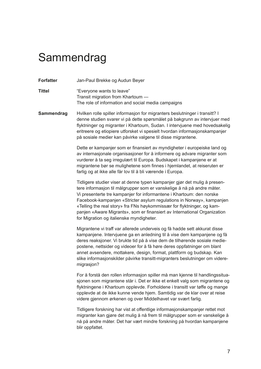# <span id="page-6-0"></span>**Sammendrag**

**Forfatter** Jan-Paul Brekke og Audun Beyer

**Tittel <b>Tittel** "Everyone wants to leave" Transit migration from Khartoum — The role of information and social media campaigns

**Sammendrag** Hvilken rolle spiller informasjon for migranters beslutninger i transitt? I denne studien svarer vi på dette spørsmålet på bakgrunn av intervjuer med flyktninger og migranter i Khartoum, Sudan. I intervjuene med hovedsakelig eritreere og etiopiere utforsket vi spesielt hvordan informasjonskampanjer på sosiale medier kan påvirke valgene til disse migrantene.

> Dette er kampanjer som er finansiert av myndigheter i europeiske land og av internasjonale organisasjoner for å informere og advare migranter som vurderer å ta seg irregulært til Europa. Budskapet i kampanjene er at migrantene bør se mulighetene som finnes i hjemlandet, at reiseruten er farlig og at ikke alle får lov til å bli værende i Europa.

Tidligere studier viser at denne typen kampanjer gjør det mulig å presentere informasjon til målgrupper som er vanskelige å nå på andre måter. Vi presenterte tre kampanjer for informantene i Khartoum: den norske Facebook-kampanjen «Stricter asylum regulations in Norway», kampanjen «Telling the real story» fra FNs høykommissær for flyktninger, og kampanjen «Aware Migrants», som er finansiert av International Organization for Migration og italienske myndigheter.

Migrantene vi traff var allerede underveis og få hadde sett akkurat disse kampanjene. Intervjuene ga en anledning til å vise dem kampanjene og få deres reaksjoner. Vi brukte tid på å vise dem de tilhørende sosiale mediepostene, nettsider og videoer for å få høre deres oppfatninger om blant annet avsendere, mottakere, design, format, plattform og budskap. Kan slike informasjonskilder påvirke transitt-migranters beslutninger om videremigrasjon?

For å forstå den rollen informasjon spiller må man kjenne til handlingssituasjonen som migrantene står i. Det er ikke et enkelt valg som migrantene og flyktningene i Khartoum opplevde. Forholdene i transitt var tøffe og mange opplevde at de ikke kunne vende hjem. Samtidig var de klar over at reise videre gjennom ørkenen og over Middelhavet var svært farlig.

Tidligere forskning har vist at offentlige informasjonskampanjer rettet mot migranter kan gjøre det mulig å nå frem til målgrupper som er vanskelige å nå på andre måter. Det har vært mindre forskning på hvordan kampanjene blir oppfattet.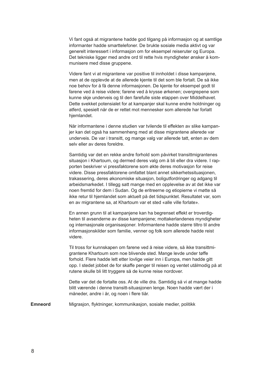Vi fant også at migrantene hadde god tilgang på informasjon og at samtlige informanter hadde smarttelefoner. De brukte sosiale media aktivt og var generelt interessert i informasjon om for eksempel reiseruter og Europa. Det tekniske ligger med andre ord til rette hvis myndigheter ønsker å kommunisere med disse gruppene.

Videre fant vi at migrantene var positive til innholdet i disse kampanjene, men at de opplevde at de allerede kjente til det som ble fortalt. De så ikke noe behov for å få denne informasjonen. De kjente for eksempel godt til farene ved å reise videre; farene ved å krysse ørkenen; overgrepene som kunne skje underveis og til den farefulle siste etappen over Middelhavet. Dette svekket potensialet for at kampanjer skal kunne endre holdninger og atferd, spesielt når de er rettet mot mennesker som allerede har forlatt hjemlandet.

Når informantene i denne studien var tvilende til effekten av slike kampanjer kan det også ha sammenheng med at disse migrantene allerede var underveis. De var i transitt, og mange valg var allerede tatt, enten av dem selv eller av deres foreldre.

Samtidig var det en rekke andre forhold som påvirket transittmigrantenes situasjon i Khartoum, og dermed deres valg om å bli eller dra videre. I rapporten beskriver vi pressfaktorene som økte deres motivasjon for reise videre. Disse pressfaktorene omfattet blant annet sikkerhetssituasjonen, trakassering, deres økonomiske situasjon, boligutfordringer og adgang til arbeidsmarkedet. I tillegg satt mange med en opplevelse av at det ikke var noen fremtid for dem i Sudan. Og de eritreerne og etiopierne vi møtte så ikke retur til hjemlandet som aktuelt på det tidspunktet. Resultatet var, som en av migrantene sa, at Khartoum var et sted «alle ville forlate».

En annen grunn til at kampanjene kan ha begrenset effekt er troverdigheten til avsenderne av disse kampanjene; mottakerlandenes myndigheter og internasjonale organisasjoner. Informantene hadde større tiltro til andre informasjonskilder som familie, venner og folk som allerede hadde reist videre.

Til tross for kunnskapen om farene ved å reise videre, så ikke transittmigrantene Khartoum som noe blivende sted. Mange levde under tøffe forhold. Flere hadde lett etter lovlige veier inn i Europa, men hadde gitt opp. I stedet jobbet de for skaffe penger til reisen og ventet utålmodig på at rutene skulle bli litt tryggere så de kunne reise nordover.

Dette var det de fortalte oss. At de ville dra. Samtidig så vi at mange hadde blitt værende i denne transitt-situasjonen lenge. Noen hadde vært der i måneder, andre i år, og noen i flere tiår.

**Emneord** Migrasjon, flyktninger, kommunikasjon, sosiale medier, politikk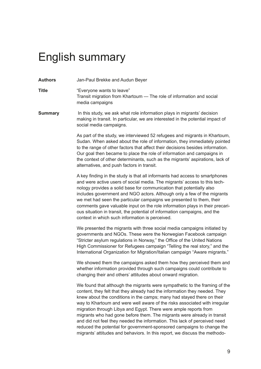# <span id="page-8-0"></span>English summary

**Authors** Jan-Paul Brekke and Audun Beyer

**Title** "Everyone wants to leave" Transit migration from Khartoum — The role of information and social media campaigns

**Summary** In this study, we ask what role information plays in migrants' decision making in transit. In particular, we are interested in the potential impact of social media campaigns.

> As part of the study, we interviewed 52 refugees and migrants in Khartoum, Sudan. When asked about the role of information, they immediately pointed to the range of other factors that affect their decisions besides information. Our goal then became to place the role of information and campaigns in the context of other determinants, such as the migrants' aspirations, lack of alternatives, and push factors in transit.

> A key finding in the study is that all informants had access to smartphones and were active users of social media. The migrants' access to this technology provides a solid base for communication that potentially also includes government and NGO actors. Although only a few of the migrants we met had seen the particular campaigns we presented to them, their comments gave valuable input on the role information plays in their precarious situation in transit, the potential of information campaigns, and the context in which such information is perceived.

> We presented the migrants with three social media campaigns initiated by governments and NGOs. These were the Norwegian Facebook campaign "Stricter asylum regulations in Norway," the Office of the United Nations High Commissioner for Refugees campaign "Telling the real story," and the International Organization for Migration/Italian campaign "Aware migrants."

We showed them the campaigns asked them how they perceived them and whether information provided through such campaigns could contribute to changing their and others' attitudes about onward migration.

We found that although the migrants were sympathetic to the framing of the content, they felt that they already had the information they needed. They knew about the conditions in the camps; many had stayed there on their way to Khartoum and were well aware of the risks associated with irregular migration through Libya and Egypt. There were ample reports from migrants who had gone before them. The migrants were already in transit and did not feel they needed the information. This lack of perceived need reduced the potential for government-sponsored campaigns to change the migrants' attitudes and behaviors. In this report, we discuss the methodo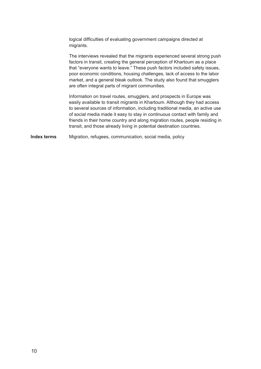logical difficulties of evaluating government campaigns directed at migrants.

The interviews revealed that the migrants experienced several strong push factors in transit, creating the general perception of Khartoum as a place that "everyone wants to leave." These push factors included safety issues, poor economic conditions, housing challenges, lack of access to the labor market, and a general bleak outlook. The study also found that smugglers are often integral parts of migrant communities.

Information on travel routes, smugglers, and prospects in Europe was easily available to transit migrants in Khartoum. Although they had access to several sources of information, including traditional media, an active use of social media made it easy to stay in continuous contact with family and friends in their home country and along migration routes, people residing in transit, and those already living in potential destination countries.

**Index terms** Migration, refugees, communication, social media, policy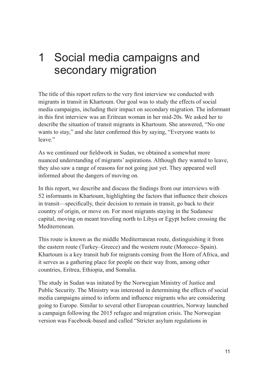# <span id="page-10-0"></span>1 Social media campaigns and secondary migration

The title of this report refers to the very first interview we conducted with migrants in transit in Khartoum. Our goal was to study the effects of social media campaigns, including their impact on secondary migration. The informant in this first interview was an Eritrean woman in her mid-20s. We asked her to describe the situation of transit migrants in Khartoum. She answered, "No one wants to stay," and she later confirmed this by saying, "Everyone wants to leave."

As we continued our fieldwork in Sudan, we obtained a somewhat more nuanced understanding of migrants' aspirations. Although they wanted to leave, they also saw a range of reasons for not going just yet. They appeared well informed about the dangers of moving on.

In this report, we describe and discuss the findings from our interviews with 52 informants in Khartoum, highlighting the factors that influence their choices in transit—specifically, their decision to remain in transit, go back to their country of origin, or move on. For most migrants staying in the Sudanese capital, moving on meant traveling north to Libya or Egypt before crossing the **Mediterrenean** 

This route is known as the middle Mediterranean route, distinguishing it from the eastern route (Turkey–Greece) and the western route (Morocco–Spain). Khartoum is a key transit hub for migrants coming from the Horn of Africa, and it serves as a gathering place for people on their way from, among other countries, Eritrea, Ethiopia, and Somalia.

The study in Sudan was initated by the Norwegian Ministry of Justice and Public Security. The Ministry was interested in determining the effects of social media campaigns aimed to inform and influence migrants who are considering going to Europe. Similar to several other European countries, Norway launched a campaign following the 2015 refugee and migration crisis. The Norwegian version was Facebook-based and called "Stricter asylum regulations in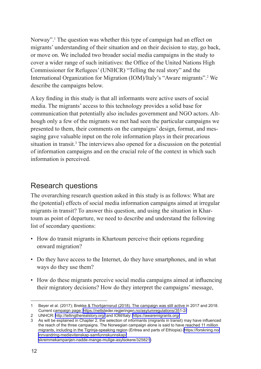<span id="page-11-0"></span>Norway".<sup>1</sup> The question was whether this type of campaign had an effect on migrants' understanding of their situation and on their decision to stay, go back, or move on. We included two broader social media campaigns in the study to cover a wider range of such initiatives: the Office of the United Nations High Commissioner for Refugees' (UNHCR) "Telling the real story" and the International Organization for Migration (IOM)/Italy's "Aware migrants".<sup>2</sup> We describe the campaigns below.

A key finding in this study is that all informants were active users of social media. The migrants' access to this technology provides a solid base for communication that potentially also includes government and NGO actors. Although only a few of the migrants we met had seen the particular campaigns we presented to them, their comments on the campaigns' design, format, and messaging gave valuable input on the role information plays in their precarious situation in transit.<sup>3</sup> The interviews also opened for a discussion on the potential of information campaigns and on the crucial role of the context in which such information is perceived.

## Research questions

The overarching research question asked in this study is as follows: What are the (potential) effects of social media information campaigns aimed at irregular migrants in transit? To answer this question, and using the situation in Khartoum as point of departure, we need to describe and understand the following list of secondary questions:

- How do transit migrants in Khartoum perceive their options regarding onward migration?
- Do they have access to the Internet, do they have smartphones, and in what ways do they use them?
- How do these migrants perceive social media campaigns aimed at influencing their migratory decisions? How do they interpret the campaigns' message,

<sup>1</sup> Beyer et al. (2017); Brekke & Thorbjørnsrud (2018). The campaign was still active in 2017 and 2018. Current campaign page: <https://nettsteder.regjeringen.no/asylumregulations/351-2/>

<sup>2</sup> UNHCR: <http://tellingtherealstory.org/> and IOM/Italy: <https://awaremigrants.org/>

<sup>3</sup> As will be explained in Chapter 2, the selection of informants (migrants in transit) may have influenced the reach of the three campaigns. The Norwegian campaign alone is said to have reached 11 million migrants, including in the Tigrinja-speaking region (Eritrea and parts of Ethiopia) [\(https://forskning.no/](https://forskning.no/innvandring-medievitenskap-samfunnskunnskap/skremmekampanjen-nadde-mange-mulige-asylsokere/325821) [innvandring-medievitenskap-samfunnskunnskap/](https://forskning.no/innvandring-medievitenskap-samfunnskunnskap/skremmekampanjen-nadde-mange-mulige-asylsokere/325821) [skremmekampanjen-nadde-mange-mulige-asylsokere/325821](https://forskning.no/innvandring-medievitenskap-samfunnskunnskap/skremmekampanjen-nadde-mange-mulige-asylsokere/325821))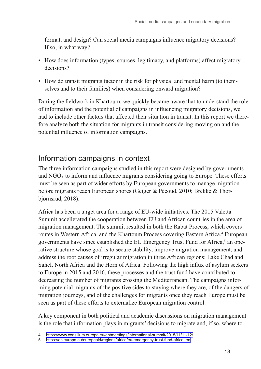<span id="page-12-0"></span>format, and design? Can social media campaigns influence migratory decisions? If so, in what way?

- How does information (types, sources, legitimacy, and platforms) affect migratory decisions?
- How do transit migrants factor in the risk for physical and mental harm (to themselves and to their families) when considering onward migration?

During the fieldwork in Khartoum, we quickly became aware that to understand the role of information and the potential of campaigns in influencing migratory decisions, we had to include other factors that affected their situation in transit. In this report we therefore analyze both the situation for migrants in transit considering moving on and the potential influence of information campaigns.

## Information campaigns in context

The three information campaigns studied in this report were designed by governments and NGOs to inform and influence migrants considering going to Europe. These efforts must be seen as part of wider efforts by European governments to manage migration before migrants reach European shores (Geiger & Pécoud, 2010; Brekke & Thorbjørnsrud, 2018).

Africa has been a target area for a range of EU-wide initiatives. The 2015 Valetta Summit accellerated the cooperation between EU and African countries in the area of migration management. The summit resulted in both the Rabat Process, which covers routes in Western Africa, and the Khartoum Process covering Eastern Africa.<sup>4</sup> European governments have since established the EU Emergency Trust Fund for Africa,<sup>5</sup> an operative structure whose goal is to secure stability, improve migration management, and address the root causes of irregular migration in three African regions; Lake Chad and Sahel, North Africa and the Horn of Africa. Following the high influx of asylum seekers to Europe in 2015 and 2016, these processes and the trust fund have contributed to decreasing the number of migrants crossing the Mediterranean. The campaigns informing potential migrants of the positive sides to staying where they are, of the dangers of migration journeys, and of the challenges for migrants once they reach Europe must be seen as part of these efforts to externalize European migration control.

A key component in both political and academic discussions on migration management is the role that information plays in migrants' decisions to migrate and, if so, where to

<sup>4</sup> <https://www.consilium.europa.eu/en/meetings/international-summit/2015/11/11-12/>

<sup>5</sup> [https://ec.europa.eu/europeaid/regions/africa/eu-emergency-trust-fund-africa\\_en](https://ec.europa.eu/europeaid/regions/africa/eu-emergency-trust-fund-africa_en)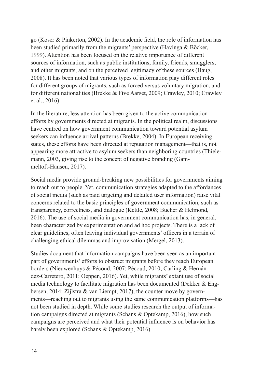go (Koser & Pinkerton, 2002). In the academic field, the role of information has been studied primarily from the migrants' perspective (Havinga & Böcker, 1999). Attention has been focused on the relative importance of different sources of information, such as public institutions, family, friends, smugglers, and other migrants, and on the perceived legitimacy of these sources (Haug, 2008). It has been noted that various types of information play different roles for different groups of migrants, such as forced versus voluntary migration, and for different nationalities (Brekke & Five Aarset, 2009; Crawley, 2010; Crawley et al., 2016).

In the literature, less attention has been given to the active communication efforts by governments directed at migrants. In the political realm, discussions have centred on how government communication toward potential asylum seekers can influence arrival patterns (Brekke, 2004). In European receiving states, these efforts have been directed at reputation management—that is, not appearing more attractive to asylum seekers than neighboring countries (Thielemann, 2003, giving rise to the concept of negative branding (Gammeltoft-Hansen, 2017).

Social media provide ground-breaking new possibilities for governments aiming to reach out to people. Yet, communication strategies adapted to the affordances of social media (such as paid targeting and detailed user information) raise vital concerns related to the basic principles of government communication, such as transparency, correctness, and dialogue (Kettle, 2008; Bucher & Helmond, 2016). The use of social media in government communication has, in general, been characterized by experimentation and ad hoc projects. There is a lack of clear guidelines, often leaving individual governments' officers in a terrain of challenging ethical dilemmas and improvisation (Mergel, 2013).

Studies document that information campaigns have been seen as an important part of governments' efforts to obstruct migrants before they reach European borders (Nieuwenhuys & Pécoud, 2007; Pécoud, 2010; Carling & Hernández-Carretero, 2011; Oeppen, 2016). Yet, while migrants' extant use of social media technology to facilitate migration has been documented (Dekker & Engbersen, 2014; Zijlstra & van Liempt, 2017), the counter move by governments—reaching out to migrants using the same communication platforms—has not been studied in depth. While some studies research the output of information campaigns directed at migrants (Schans & Optekamp, 2016), how such campaigns are perceived and what their potential influence is on behavior has barely been explored (Schans & Optekamp, 2016).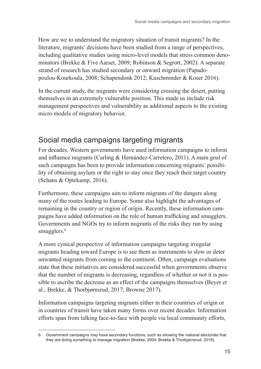<span id="page-14-0"></span>How are we to understand the migratory situation of transit migrants? In the literature, migrants' decisions have been studied from a range of perspectives, including qualitative studies using micro-level models that stress common denominators (Brekke & Five Aarset, 2009; Robinson & Segrott, 2002). A separate strand of research has studied secondary or onward migration (Papadopoulou-Kourkoula, 2008; Schapendonk 2012; Kuschminder & Koser 2016).

In the current study, the migrants were considering crossing the desert, putting themselves in an extremely vulnerable position. This made us include risk management perspectives and vulnerability as additional aspects to the existing micro models of migratory behavior.

# Social media campaigns targeting migrants

For decades, Western governments have used information campaigns to inform and influence migrants (Carling & Hernández-Carretero, 2011). A main goal of such campaigns has been to provide information concerning migrants' possibility of obtaining asylum or the right to stay once they reach their target country (Schans & Optekamp, 2016).

Furthermore, these campaigns aim to inform migrants of the dangers along many of the routes leading to Europe. Some also highlight the advantages of remaining in the country or region of origin. Recently, these information campaigns have added information on the role of human trafficking and smugglers. Governments and NGOs try to inform migrants of the risks they run by using smugglers.<sup>6</sup>

A more cynical perspective of information campaigns targeting irregular migrants heading toward Europe is to see them as instruments to slow or deter unwanted migrants from coming to the continent. Often, campaign evaluations state that these initiatives are considered successful when governments observe that the number of migrants is decreasing, regardless of whether or not it is possible to ascribe the decrease as an effect of the campaigns themselves (Beyer et al.; Brekke, & Thorbjørnsrud, 2017; Browne 2017).

Information campaigns targeting migrants either in their countries of origin or in countries of transit have taken many forms over recent decades. Information efforts span from talking face-to-face with people via local community efforts,

<sup>6</sup> Government campaigns may have secondary functions, such as showing the national electorate that they are doing something to manage migration (Brekke, 2004; Brekke & Thorbjørnsrud, 2018).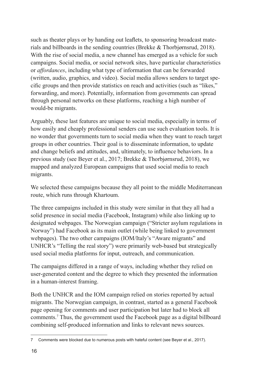such as theater plays or by handing out leaflets, to sponsoring broadcast materials and billboards in the sending countries (Brekke & Thorbjørnsrud, 2018). With the rise of social media, a new channel has emerged as a vehicle for such campaigns. Social media, or social network sites, have particular characteristics or *affordances*, including what type of information that can be forwarded (written, audio, graphics, and video). Social media allows senders to target specific groups and then provide statistics on reach and activities (such as "likes," forwarding, and more). Potentially, information from governments can spread through personal networks on these platforms, reaching a high number of would-be migrants.

Arguably, these last features are unique to social media, especially in terms of how easily and cheaply professional senders can use such evaluation tools. It is no wonder that governments turn to social media when they want to reach target groups in other countries. Their goal is to disseminate information, to update and change beliefs and attitudes, and, ultimately, to influence behaviors. In a previous study (see Beyer et al., 2017; Brekke & Thorbjørnsrud, 2018), we mapped and analyzed European campaigns that used social media to reach migrants.

We selected these campaigns because they all point to the middle Mediterranean route, which runs through Khartoum.

The three campaigns included in this study were similar in that they all had a solid presence in social media (Facebook, Instagram) while also linking up to designated webpages. The Norwegian campaign ("Stricter asylum regulations in Norway") had Facebook as its main outlet (while being linked to government webpages). The two other campaigns (IOM/Italy's "Aware migrants" and UNHCR's "Telling the real story") were primarily web-based but strategically used social media platforms for input, outreach, and communication.

The campaigns differed in a range of ways, including whether they relied on user-generated content and the degree to which they presented the information in a human-interest framing.

Both the UNHCR and the IOM campaign relied on stories reported by actual migrants. The Norwegian campaign, in contrast, started as a general Facebook page opening for comments and user participation but later had to block all comments.<sup>7</sup> Thus, the government used the Facebook page as a digital billboard combining self-produced information and links to relevant news sources.

<sup>7</sup> Comments were blocked due to numerous posts with hateful content (see Beyer et al., 2017).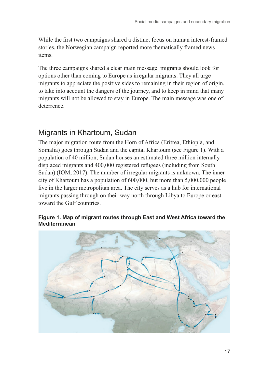<span id="page-16-0"></span>While the first two campaigns shared a distinct focus on human interest-framed stories, the Norwegian campaign reported more thematically framed news items.

The three campaigns shared a clear main message: migrants should look for options other than coming to Europe as irregular migrants. They all urge migrants to appreciate the positive sides to remaining in their region of origin, to take into account the dangers of the journey, and to keep in mind that many migrants will not be allowed to stay in Europe. The main message was one of deterrence.

## Migrants in Khartoum, Sudan

The major migration route from the Horn of Africa (Eritrea, Ethiopia, and Somalia) goes through Sudan and the capital Khartoum (see Figure 1). With a population of 40 million, Sudan houses an estimated three million internally displaced migrants and 400,000 registered refugees (including from South Sudan) (IOM, 2017). The number of irregular migrants is unknown. The inner city of Khartoum has a population of 600,000, but more than 5,000,000 people live in the larger metropolitan area. The city serves as a hub for international migrants passing through on their way north through Libya to Europe or east toward the Gulf countries.

#### **Figure 1. Map of migrant routes through East and West Africa toward the Mediterranean**

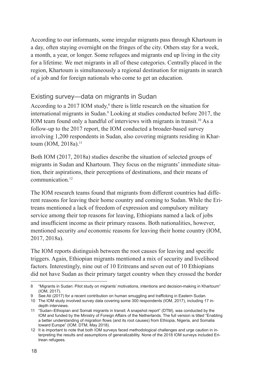<span id="page-17-0"></span>According to our informants, some irregular migrants pass through Khartoum in a day, often staying overnight on the fringes of the city. Others stay for a week, a month, a year, or longer. Some refugees and migrants end up living in the city for a lifetime. We met migrants in all of these categories. Centrally placed in the region, Khartoum is simultaneously a regional destination for migrants in search of a job and for foreign nationals who come to get an education.

### Existing survey—data on migrants in Sudan

According to a 2017 IOM study,<sup>8</sup> there is little research on the situation for international migrants in Sudan.<sup>9</sup> Looking at studies conducted before 2017, the IOM team found only a handful of interviews with migrants in transit.<sup>10</sup> As a follow-up to the 2017 report, the IOM conducted a broader-based survey involving 1,200 respondents in Sudan, also covering migrants residing in Khartoum (IOM, 2018a).<sup>11</sup>

Both IOM (2017, 2018a) studies describe the situation of selected groups of migrants in Sudan and Khartoum. They focus on the migrants' immediate situation, their aspirations, their perceptions of destinations, and their means of communication<sup>12</sup>

The IOM research teams found that migrants from different countries had different reasons for leaving their home country and coming to Sudan. While the Eritreans mentioned a lack of freedom of expression and compulsory military service among their top reasons for leaving, Ethiopians named a lack of jobs and insufficient income as their primary reasons. Both nationalities, however, mentioned security *and* economic reasons for leaving their home country (IOM, 2017, 2018a).

The IOM reports distinguish between the root causes for leaving and specific triggers. Again, Ethiopian migrants mentioned a mix of security and livelihood factors. Interestingly, nine out of 10 Eritreans and seven out of 10 Ethiopians did not have Sudan as their primary target country when they crossed the border

<sup>8</sup> "Migrants in Sudan: Pilot study on migrants' motivations, intentions and decision-making in Khartoum" (IOM, 2017).

<sup>9</sup> See Ati (2017) for a recent contribution on human smuggling and trafficking in Eastern Sudan.

<sup>10</sup> The IOM study involved survey data covering some 300 respondents (IOM, 2017), including 17 indepth interviews.

<sup>11</sup> "Sudan–Ethiopian and Somali migrants in transit: A snapshot report" (DTM), was conducted by the IOM and funded by the Ministry of Foreign Affairs of the Netherlands. The full version is titled "Enabling a better understanding of migration flows (and its root causes) from Ethiopia, Nigeria, and Somalia toward Europe" (IOM. DTM, May 2018).

<sup>12</sup> It is important to note that both IOM surveys faced methodological challenges and urge caution in interpreting the results and assumptions of generalizability. None of the 2018 IOM surveys included Eritrean refugees.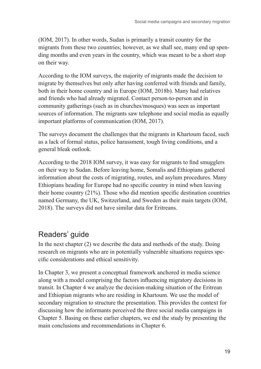<span id="page-18-0"></span>(IOM, 2017). In other words, Sudan is primarily a transit country for the migrants from these two countries; however, as we shall see, many end up spending months and even years in the country, which was meant to be a short stop on their way.

According to the IOM surveys, the majority of migrants made the decision to migrate by themselves but only after having conferred with friends and family, both in their home country and in Europe (IOM, 2018b). Many had relatives and friends who had already migrated. Contact person-to-person and in community gatherings (such as in churches/mosques) was seen as important sources of information. The migrants saw telephone and social media as equally important platforms of communication (IOM, 2017).

The surveys document the challenges that the migrants in Khartoum faced, such as a lack of formal status, police harassment, tough living conditions, and a general bleak outlook.

According to the 2018 IOM survey, it was easy for migrants to find smugglers on their way to Sudan. Before leaving home, Somalis and Ethiopians gathered information about the costs of migrating, routes, and asylum procedures. Many Ethiopians heading for Europe had no specific country in mind when leaving their home country (21%). Those who did mention specific destination countries named Germany, the UK, Switzerland, and Sweden as their main targets (IOM, 2018). The surveys did not have similar data for Eritreans.

## Readers' guide

In the next chapter (2) we describe the data and methods of the study. Doing research on migrants who are in potentially vulnerable situations requires specific considerations and ethical sensitivity.

In Chapter 3, we present a conceptual framework anchored in media science along with a model comprising the factors influencing migratory decisions in transit. In Chapter 4 we analyze the decision-making situation of the Eritrean and Ethiopian migrants who are residing in Khartoum. We use the model of secondary migration to structure the presentation. This provides the context for discussing how the informants perceived the three social media campaigns in Chapter 5. Basing on these earlier chapters, we end the study by presenting the main conclusions and recommendations in Chapter 6.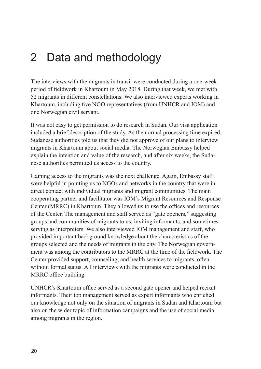# <span id="page-19-0"></span>2 Data and methodology

The interviews with the migrants in transit were conducted during a one-week period of fieldwork in Khartoum in May 2018. During that week, we met with 52 migrants in different constellations. We also interviewed experts working in Khartoum, including five NGO representatives (from UNHCR and IOM) and one Norwegian civil servant.

It was not easy to get permission to do research in Sudan. Our visa application included a brief description of the study. As the normal processing time expired, Sudanese authorities told us that they did not approve of our plans to interview migrants in Khartoum about social media. The Norwegian Embassy helped explain the intention and value of the research, and after six weeks, the Sudanese authorities permitted us access to the country.

Gaining access to the migrants was the next challenge. Again, Embassy staff were helpful in pointing us to NGOs and networks in the country that were in direct contact with individual migrants and migrant communities. The main cooperating partner and facilitator was IOM's Migrant Resources and Response Center (MRRC) in Khartoum. They allowed us to use the offices and resources of the Center. The management and staff served as "gate openers," suggesting groups and communities of migrants to us, inviting informants, and sometimes serving as interpreters. We also interviewed IOM management and staff, who provided important background knowledge about the characteristics of the groups selected and the needs of migrants in the city. The Norwegian government was among the contributors to the MRRC at the time of the fieldwork. The Center provided support, counseling, and health services to migrants, often without formal status. All interviews with the migrants were conducted in the MRRC office building.

UNHCR's Khartoum office served as a second gate opener and helped recruit informants. Their top management served as expert informants who enriched our knowledge not only on the situation of migrants in Sudan and Khartoum but also on the wider topic of information campaigns and the use of social media among migrants in the region.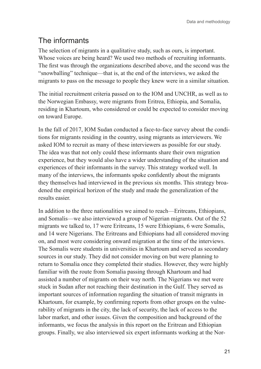# <span id="page-20-0"></span>The informants

The selection of migrants in a qualitative study, such as ours, is important. Whose voices are being heard? We used two methods of recruiting informants. The first was through the organizations described above, and the second was the "snowballing" technique—that is, at the end of the interviews, we asked the migrants to pass on the message to people they knew were in a similar situation.

The initial recruitment criteria passed on to the IOM and UNCHR, as well as to the Norwegian Embassy, were migrants from Eritrea, Ethiopia, and Somalia, residing in Khartoum, who considered or could be expected to consider moving on toward Europe.

In the fall of 2017, IOM Sudan conducted a face-to-face survey about the conditions for migrants residing in the country, using migrants as interviewers. We asked IOM to recruit as many of these interviewers as possible for our study. The idea was that not only could these informants share their own migration experience, but they would also have a wider understanding of the situation and experiences of their informants in the survey. This strategy worked well. In many of the interviews, the informants spoke confidently about the migrants they themselves had interviewed in the previous six months. This strategy broadened the empirical horizon of the study and made the generalization of the results easier.

In addition to the three nationalities we aimed to reach—Eritreans, Ethiopians, and Somalis—we also interviewed a group of Nigerian migrants. Out of the 52 migrants we talked to, 17 were Eritreans, 15 were Ethiopians, 6 were Somalis, and 14 were Nigerians. The Eritreans and Ethiopians had all considered moving on, and most were considering onward migration at the time of the interviews. The Somalis were students in universities in Khartoum and served as secondary sources in our study. They did not consider moving on but were planning to return to Somalia once they completed their studies. However, they were highly familiar with the route from Somalia passing through Khartoum and had assisted a number of migrants on their way north. The Nigerians we met were stuck in Sudan after not reaching their destination in the Gulf. They served as important sources of information regarding the situation of transit migrants in Khartoum, for example, by confirming reports from other groups on the vulnerability of migrants in the city, the lack of security, the lack of access to the labor market, and other issues. Given the composition and background of the informants, we focus the analysis in this report on the Eritrean and Ethiopian groups. Finally, we also interviewed six expert informants working at the Nor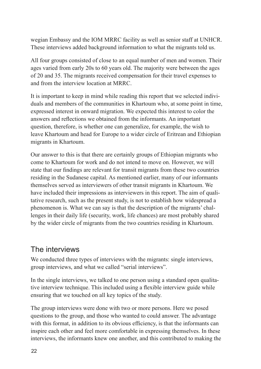<span id="page-21-0"></span>wegian Embassy and the IOM MRRC facility as well as senior staff at UNHCR. These interviews added background information to what the migrants told us.

All four groups consisted of close to an equal number of men and women. Their ages varied from early 20s to 60 years old. The majority were between the ages of 20 and 35. The migrants received compensation for their travel expenses to and from the interview location at MRRC.

It is important to keep in mind while reading this report that we selected individuals and members of the communities in Khartoum who, at some point in time, expressed interest in onward migration. We expected this interest to color the answers and reflections we obtained from the informants. An important question, therefore, is whether one can generalize, for example, the wish to leave Khartoum and head for Europe to a wider circle of Eritrean and Ethiopian migrants in Khartoum.

Our answer to this is that there are certainly groups of Ethiopian migrants who come to Khartoum for work and do not intend to move on. However, we will state that our findings are relevant for transit migrants from these two countries residing in the Sudanese capital. As mentioned earlier, many of our informants themselves served as interviewers of other transit migrants in Khartoum. We have included their impressions as interviewers in this report. The aim of qualitative research, such as the present study, is not to establish how widespread a phenomenon is. What we can say is that the description of the migrants' challenges in their daily life (security, work, life chances) are most probably shared by the wider circle of migrants from the two countries residing in Khartoum.

## The interviews

We conducted three types of interviews with the migrants: single interviews, group interviews, and what we called "serial interviews".

In the single interviews, we talked to one person using a standard open qualitative interview technique. This included using a flexible interview guide while ensuring that we touched on all key topics of the study.

The group interviews were done with two or more persons. Here we posed questions to the group, and those who wanted to could answer. The advantage with this format, in addition to its obvious efficiency, is that the informants can inspire each other and feel more comfortable in expressing themselves. In these interviews, the informants knew one another, and this contributed to making the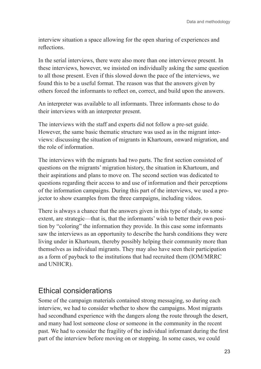<span id="page-22-0"></span>interview situation a space allowing for the open sharing of experiences and reflections.

In the serial interviews, there were also more than one interviewee present. In these interviews, however, we insisted on individually asking the same question to all those present. Even if this slowed down the pace of the interviews, we found this to be a useful format. The reason was that the answers given by others forced the informants to reflect on, correct, and build upon the answers.

An interpreter was available to all informants. Three informants chose to do their interviews with an interpreter present.

The interviews with the staff and experts did not follow a pre-set guide. However, the same basic thematic structure was used as in the migrant interviews: discussing the situation of migrants in Khartoum, onward migration, and the role of information.

The interviews with the migrants had two parts. The first section consisted of questions on the migrants' migration history, the situation in Khartoum, and their aspirations and plans to move on. The second section was dedicated to questions regarding their access to and use of information and their perceptions of the information campaigns. During this part of the interviews, we used a projector to show examples from the three campaigns, including videos.

There is always a chance that the answers given in this type of study, to some extent, are strategic—that is, that the informants' wish to better their own position by "coloring" the information they provide. In this case some informants saw the interviews as an opportunity to describe the harsh conditions they were living under in Khartoum, thereby possibly helping their community more than themselves as individual migrants. They may also have seen their participation as a form of payback to the institutions that had recruited them (IOM/MRRC and UNHCR).

## Ethical considerations

Some of the campaign materials contained strong messaging, so during each interview, we had to consider whether to show the campaigns. Most migrants had secondhand experience with the dangers along the route through the desert, and many had lost someone close or someone in the community in the recent past. We had to consider the fragility of the individual informant during the first part of the interview before moving on or stopping. In some cases, we could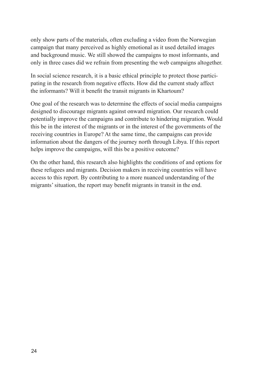only show parts of the materials, often excluding a video from the Norwegian campaign that many perceived as highly emotional as it used detailed images and background music. We still showed the campaigns to most informants, and only in three cases did we refrain from presenting the web campaigns altogether.

In social science research, it is a basic ethical principle to protect those participating in the research from negative effects. How did the current study affect the informants? Will it benefit the transit migrants in Khartoum?

One goal of the research was to determine the effects of social media campaigns designed to discourage migrants against onward migration. Our research could potentially improve the campaigns and contribute to hindering migration. Would this be in the interest of the migrants or in the interest of the governments of the receiving countries in Europe? At the same time, the campaigns can provide information about the dangers of the journey north through Libya. If this report helps improve the campaigns, will this be a positive outcome?

On the other hand, this research also highlights the conditions of and options for these refugees and migrants. Decision makers in receiving countries will have access to this report. By contributing to a more nuanced understanding of the migrants' situation, the report may benefit migrants in transit in the end.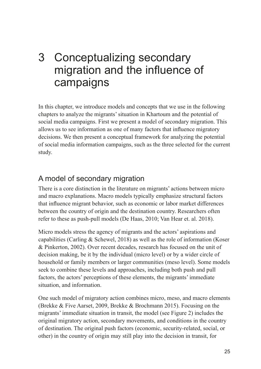# <span id="page-24-0"></span>3 Conceptualizing secondary migration and the influence of campaigns

In this chapter, we introduce models and concepts that we use in the following chapters to analyze the migrants' situation in Khartoum and the potential of social media campaigns. First we present a model of secondary migration. This allows us to see information as one of many factors that influence migratory decisions. We then present a conceptual framework for analyzing the potential of social media information campaigns, such as the three selected for the current study.

## A model of secondary migration

There is a core distinction in the literature on migrants' actions between micro and macro explanations. Macro models typically emphasize structural factors that influence migrant behavior, such as economic or labor market differences between the country of origin and the destination country. Researchers often refer to these as push-pull models (De Haas, 2010; Van Hear et. al. 2018).

Micro models stress the agency of migrants and the actors' aspirations and capabilities (Carling  $&$  Schewel, 2018) as well as the role of information (Koser & Pinkerton, 2002). Over recent decades, research has focused on the unit of decision making, be it by the individual (micro level) or by a wider circle of household or family members or larger communities (meso level). Some models seek to combine these levels and approaches, including both push and pull factors, the actors' perceptions of these elements, the migrants' immediate situation, and information.

One such model of migratory action combines micro, meso, and macro elements (Brekke & Five Aarset, 2009, Brekke & Brochmann 2015). Focusing on the migrants' immediate situation in transit, the model (see Figure 2) includes the original migratory action, secondary movements, and conditions in the country of destination. The original push factors (economic, security-related, social, or other) in the country of origin may still play into the decision in transit, for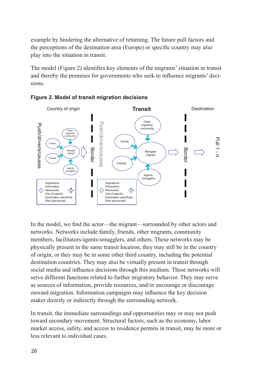example by hindering the alternative of returning. The future pull factors and the perceptions of the destination area (Europe) or specific country may also play into the situation in transit.

The model (Figure 2) identifies key elements of the migrants' situation in transit and thereby the premises for governments who seek to influence migrants' decisions.





In the model, we find the actor—the migrant—surrounded by other actors and networks. Networks include family, friends, other migrants, community members, facilitators/agents/smugglers, and others. These networks may be physically present in the same transit location, they may still be in the country of origin, or they may be in some other third country, including the potential destination countries. They may also be virtually present in transit through social media and influence decisions through this medium. These networks will serve different functions related to further migratory behavior. They may serve as sources of information, provide resources, and/or encourage or discourage onward migration. Information campaigns may influence the key decision maker directly or indirectly through the surrounding network.

In transit, the immediate surroundings and opportunities may or may not push toward secondary movement. Structural factors, such as the economy, labor market access, safety, and access to residence permits in transit, may be more or less relevant to individual cases.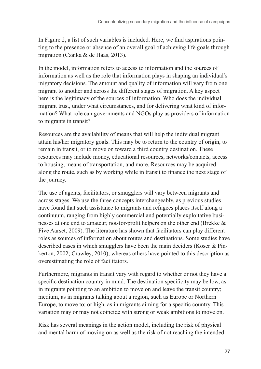In Figure 2, a list of such variables is included. Here, we find aspirations pointing to the presence or absence of an overall goal of achieving life goals through migration (Czaika & de Haas, 2013).

In the model, information refers to access to information and the sources of information as well as the role that information plays in shaping an individual's migratory decisions. The amount and quality of information will vary from one migrant to another and across the different stages of migration. A key aspect here is the legitimacy of the sources of information. Who does the individual migrant trust, under what circumstances, and for delivering what kind of information? What role can governments and NGOs play as providers of information to migrants in transit?

Resources are the availability of means that will help the individual migrant attain his/her migratory goals. This may be to return to the country of origin, to remain in transit, or to move on toward a third country destination. These resources may include money, educational resources, networks/contacts, access to housing, means of transportation, and more. Resources may be acquired along the route, such as by working while in transit to finance the next stage of the journey.

The use of agents, facilitators, or smugglers will vary between migrants and across stages. We use the three concepts interchangeably, as previous studies have found that such assistance to migrants and refugees places itself along a continuum, ranging from highly commercial and potentially exploitative businesses at one end to amateur, not-for-profit helpers on the other end (Brekke & Five Aarset, 2009). The literature has shown that facilitators can play different roles as sources of information about routes and destinations. Some studies have described cases in which smugglers have been the main deciders (Koser & Pinkerton, 2002; Crawley, 2010), whereas others have pointed to this description as overestimating the role of facilitators.

Furthermore, migrants in transit vary with regard to whether or not they have a specific destination country in mind. The destination specificity may be low, as in migrants pointing to an ambition to move on and leave the transit country; medium, as in migrants talking about a region, such as Europe or Northern Europe, to move to; or high, as in migrants aiming for a specific country. This variation may or may not coincide with strong or weak ambitions to move on.

Risk has several meanings in the action model, including the risk of physical and mental harm of moving on as well as the risk of not reaching the intended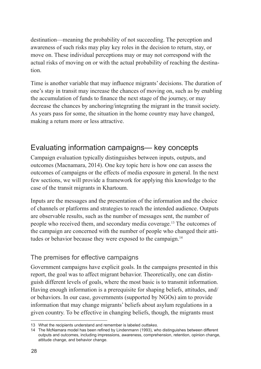<span id="page-27-0"></span>destination—meaning the probability of not succeeding. The perception and awareness of such risks may play key roles in the decision to return, stay, or move on. These individual perceptions may or may not correspond with the actual risks of moving on or with the actual probability of reaching the destination.

Time is another variable that may influence migrants' decisions. The duration of one's stay in transit may increase the chances of moving on, such as by enabling the accumulation of funds to finance the next stage of the journey, or may decrease the chances by anchoring/integrating the migrant in the transit society. As years pass for some, the situation in the home country may have changed, making a return more or less attractive.

## Evaluating information campaigns— key concepts

Campaign evaluation typically distinguishes between inputs, outputs, and outcomes (Macnamara, 2014). One key topic here is how one can assess the outcomes of campaigns or the effects of media exposure in general. In the next few sections, we will provide a framework for applying this knowledge to the case of the transit migrants in Khartoum.

Inputs are the messages and the presentation of the information and the choice of channels or platforms and strategies to reach the intended audience. Outputs are observable results, such as the number of messages sent, the number of people who received them, and secondary media coverage.<sup>13</sup> The outcomes of the campaign are concerned with the number of people who changed their attitudes or behavior because they were exposed to the campaign.<sup>14</sup>

### The premises for effective campaigns

Government campaigns have explicit goals. In the campaigns presented in this report, the goal was to affect migrant behavior. Theoretically, one can distinguish different levels of goals, where the most basic is to transmit information. Having enough information is a prerequisite for shaping beliefs, attitudes, and/ or behaviors. In our case, governments (supported by NGOs) aim to provide information that may change migrants' beliefs about asylum regulations in a given country. To be effective in changing beliefs, though, the migrants must

<sup>13</sup> What the recipients understand and remember is labeled *outtakes*.

<sup>14</sup> The McNamara model has been refined by Lindenmann (1993), who distinguishes between different outputs and outcomes, including impressions, awareness, comprehension, retention, opinion change, attitude change, and behavior change.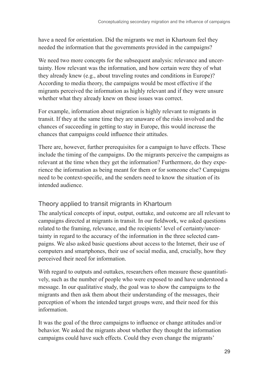<span id="page-28-0"></span>have a need for orientation. Did the migrants we met in Khartoum feel they needed the information that the governments provided in the campaigns?

We need two more concepts for the subsequent analysis: relevance and uncertainty. How relevant was the information, and how certain were they of what they already knew (e.g., about traveling routes and conditions in Europe)? According to media theory, the campaigns would be most effective if the migrants perceived the information as highly relevant and if they were unsure whether what they already knew on these issues was correct.

For example, information about migration is highly relevant to migrants in transit. If they at the same time they are unaware of the risks involved and the chances of succeeding in getting to stay in Europe, this would increase the chances that campaigns could influence their attitudes.

There are, however, further prerequisites for a campaign to have effects. These include the timing of the campaigns. Do the migrants perceive the campaigns as relevant at the time when they get the information? Furthermore, do they experience the information as being meant for them or for someone else? Campaigns need to be context-specific, and the senders need to know the situation of its intended audience.

### Theory applied to transit migrants in Khartoum

The analytical concepts of input, output, outtake, and outcome are all relevant to campaigns directed at migrants in transit. In our fieldwork, we asked questions related to the framing, relevance, and the recipients' level of certainty/uncertainty in regard to the accuracy of the information in the three selected campaigns. We also asked basic questions about access to the Internet, their use of computers and smartphones, their use of social media, and, crucially, how they perceived their need for information.

With regard to outputs and outtakes, researchers often measure these quantitatively, such as the number of people who were exposed to and have understood a message. In our qualitative study, the goal was to show the campaigns to the migrants and then ask them about their understanding of the messages, their perception of whom the intended target groups were, and their need for this information.

It was the goal of the three campaigns to influence or change attitudes and/or behavior. We asked the migrants about whether they thought the information campaigns could have such effects. Could they even change the migrants'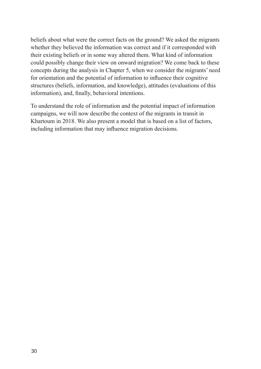beliefs about what were the correct facts on the ground? We asked the migrants whether they believed the information was correct and if it corresponded with their existing beliefs or in some way altered them. What kind of information could possibly change their view on onward migration? We come back to these concepts during the analysis in Chapter 5, when we consider the migrants' need for orientation and the potential of information to influence their cognitive structures (beliefs, information, and knowledge), attitudes (evaluations of this information), and, finally, behavioral intentions.

To understand the role of information and the potential impact of information campaigns, we will now describe the context of the migrants in transit in Khartoum in 2018. We also present a model that is based on a list of factors, including information that may influence migration decisions.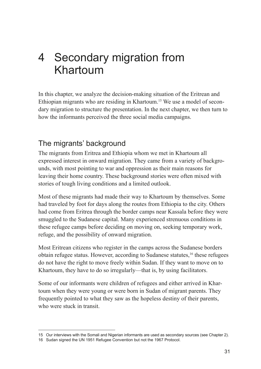# <span id="page-30-0"></span>4 Secondary migration from Khartoum

In this chapter, we analyze the decision-making situation of the Eritrean and Ethiopian migrants who are residing in Khartoum.15 We use a model of secondary migration to structure the presentation. In the next chapter, we then turn to how the informants perceived the three social media campaigns.

## The migrants' background

The migrants from Eritrea and Ethiopia whom we met in Khartoum all expressed interest in onward migration. They came from a variety of backgrounds, with most pointing to war and oppression as their main reasons for leaving their home country. These background stories were often mixed with stories of tough living conditions and a limited outlook.

Most of these migrants had made their way to Khartoum by themselves. Some had traveled by foot for days along the routes from Ethiopia to the city. Others had come from Eritrea through the border camps near Kassala before they were smuggled to the Sudanese capital. Many experienced strenuous conditions in these refugee camps before deciding on moving on, seeking temporary work, refuge, and the possibility of onward migration.

Most Eritrean citizens who register in the camps across the Sudanese borders obtain refugee status. However, according to Sudanese statutes,<sup>16</sup> these refugees do not have the right to move freely within Sudan. If they want to move on to Khartoum, they have to do so irregularly—that is, by using facilitators.

Some of our informants were children of refugees and either arrived in Khartoum when they were young or were born in Sudan of migrant parents. They frequently pointed to what they saw as the hopeless destiny of their parents, who were stuck in transit.

<sup>15</sup> Our interviews with the Somali and Nigerian informants are used as secondary sources (see Chapter 2).

<sup>16</sup> Sudan signed the UN 1951 Refugee Convention but not the 1967 Protocol.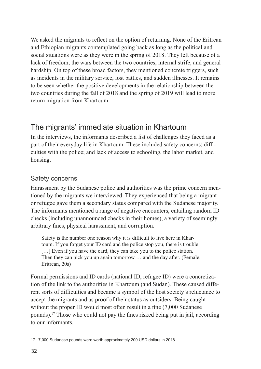<span id="page-31-0"></span>We asked the migrants to reflect on the option of returning. None of the Eritrean and Ethiopian migrants contemplated going back as long as the political and social situations were as they were in the spring of 2018. They left because of a lack of freedom, the wars between the two countries, internal strife, and general hardship. On top of these broad factors, they mentioned concrete triggers, such as incidents in the military service, lost battles, and sudden illnesses. It remains to be seen whether the positive developments in the relationship between the two countries during the fall of 2018 and the spring of 2019 will lead to more return migration from Khartoum.

## The migrants' immediate situation in Khartoum

In the interviews, the informants described a list of challenges they faced as a part of their everyday life in Khartoum. These included safety concerns; difficulties with the police; and lack of access to schooling, the labor market, and housing.

## Safety concerns

Harassment by the Sudanese police and authorities was the prime concern mentioned by the migrants we interviewed. They experienced that being a migrant or refugee gave them a secondary status compared with the Sudanese majority. The informants mentioned a range of negative encounters, entailing random ID checks (including unannounced checks in their homes), a variety of seemingly arbitrary fines, physical harassment, and corruption.

Safety is the number one reason why it is difficult to live here in Khartoum. If you forget your ID card and the police stop you, there is trouble. [...] Even if you have the card, they can take you to the police station. Then they can pick you up again tomorrow … and the day after. (Female, Eritrean, 20s)

Formal permissions and ID cards (national ID, refugee ID) were a concretization of the link to the authorities in Khartoum (and Sudan). These caused different sorts of difficulties and became a symbol of the host society's reluctance to accept the migrants and as proof of their status as outsiders. Being caught without the proper ID would most often result in a fine (7,000 Sudanese) pounds).17 Those who could not pay the fines risked being put in jail, according to our informants.

<sup>17</sup> 7,000 Sudanese pounds were worth approximately 200 USD dollars in 2018.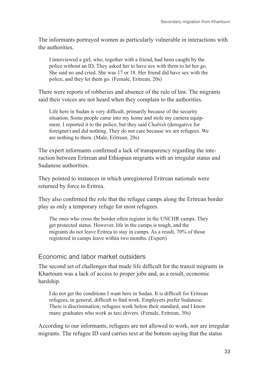<span id="page-32-0"></span>The informants portrayed women as particularly vulnerable in interactions with the authorities.

I interviewed a girl, who, together with a friend, had been caught by the police without an ID. They asked her to have sex with them to let her go. She said no and cried. She was 17 or 18. Her friend did have sex with the police, and they let them go. (Female, Eritrean, 20s)

There were reports of robberies and absence of the rule of law. The migrants said their voices are not heard when they complain to the authorities.

Life here in Sudan is very difficult, primarily because of the security situation. Some people came into my home and stole my camera equipment. I reported it to the police, but they said *Chabish* (derogative for foreigner) and did nothing. They do not care because we are refugees. We are nothing to them. (Male, Eritrean, 20s)

The expert informants confirmed a lack of transparency regarding the interaction between Eritrean and Ethiopian migrants with an irregular status and Sudanese authorities.

They pointed to instances in which unregistered Eritrean nationals were returned by force to Eritrea.

They also confirmed the role that the refugee camps along the Eritrean border play as only a temporary refuge for most refugees.

The ones who cross the border often register in the UNCHR camps. They get protected status. However, life in the camps is tough, and the migrants do not leave Eritrea to stay in camps. As a result, 70% of those registered in camps leave within two months. (Expert)

### Economic and labor market outsiders

The second set of challenges that made life difficult for the transit migrants in Khartoum was a lack of access to proper jobs and, as a result, economic hardship.

I do not get the conditions I want here in Sudan. It is difficult for Eritrean refugees, in general, difficult to find work. Employers prefer Sudanese. There is discrimination; refugees work below their standard, and I know many graduates who work as taxi drivers. (Female, Eritrean, 30s)

According to our informants, refugees are not allowed to work, nor are irregular migrants. The refugee ID card carries text at the bottom saying that the status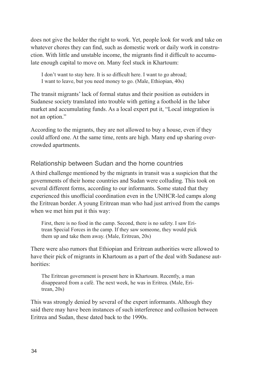<span id="page-33-0"></span>does not give the holder the right to work. Yet, people look for work and take on whatever chores they can find, such as domestic work or daily work in construction. With little and unstable income, the migrants find it difficult to accumulate enough capital to move on. Many feel stuck in Khartoum:

I don't want to stay here. It is so difficult here. I want to go abroad; I want to leave, but you need money to go. (Male, Ethiopian, 40s)

The transit migrants' lack of formal status and their position as outsiders in Sudanese society translated into trouble with getting a foothold in the labor market and accumulating funds. As a local expert put it, "Local integration is not an option."

According to the migrants, they are not allowed to buy a house, even if they could afford one. At the same time, rents are high. Many end up sharing overcrowded apartments.

### Relationship between Sudan and the home countries

A third challenge mentioned by the migrants in transit was a suspicion that the governments of their home countries and Sudan were colluding. This took on several different forms, according to our informants. Some stated that they experienced this unofficial coordination even in the UNHCR-led camps along the Eritrean border. A young Eritrean man who had just arrived from the camps when we met him put it this way:

First, there is no food in the camp. Second, there is no safety. I saw Eritrean Special Forces in the camp. If they saw someone, they would pick them up and take them away. (Male, Eritrean, 20s)

There were also rumors that Ethiopian and Eritrean authorities were allowed to have their pick of migrants in Khartoum as a part of the deal with Sudanese authorities:

The Eritrean government is present here in Khartoum. Recently, a man disappeared from a café. The next week, he was in Eritrea. (Male, Eritrean, 20s)

This was strongly denied by several of the expert informants. Although they said there may have been instances of such interference and collusion between Eritrea and Sudan, these dated back to the 1990s.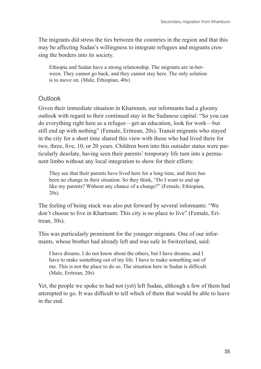<span id="page-34-0"></span>The migrants did stress the ties between the countries in the region and that this may be affecting Sudan's willingness to integrate refugees and migrants crossing the borders into its society.

Ethiopia and Sudan have a strong relationship. The migrants are in-between. They cannot go back, and they cannot stay here. The only solution is to move on. (Male, Ethiopian, 40s)

#### **Outlook**

Given their immediate situation in Khartoum, our informants had a gloomy outlook with regard to their continued stay in the Sudanese capital: "So you can do everything right here as a refugee—get an education, look for work—but still end up with nothing" (Female, Eritrean, 20s). Transit migrants who stayed in the city for a short time shared this view with those who had lived there for two, three, five, 10, or 20 years. Children born into this outsider status were particularly desolate, having seen their parents' temporary life turn into a permanent limbo without any local integration to show for their efforts:

They see that their parents have lived here for a long time, and there has been no change in their situation. So they think, "Do I want to end up like my parents? Without any chance of a change?" (Female, Ethiopian, 20s)

The feeling of being stuck was also put forward by several informants: "We don't choose to live in Khartoum. This city is no place to live" (Female, Eritrean, 30s).

This was particularly prominent for the younger migrants. One of our informants, whose brother had already left and was safe in Switzerland, said:

I have dreams. I do not know about the others, but I have dreams, and I have to make something out of my life. I have to make something out of me. This is not the place to do so. The situation here in Sudan is difficult. (Male, Eritrean, 20s)

Yet, the people we spoke to had not (yet) left Sudan, although a few of them had attempted to go. It was difficult to tell which of them that would be able to leave in the end.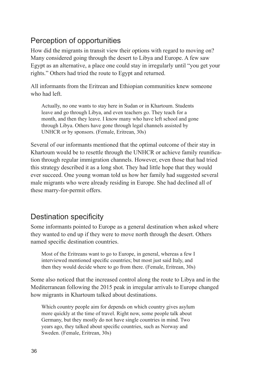# <span id="page-35-0"></span>Perception of opportunities

How did the migrants in transit view their options with regard to moving on? Many considered going through the desert to Libya and Europe. A few saw Egypt as an alternative, a place one could stay in irregularly until "you get your rights." Others had tried the route to Egypt and returned.

All informants from the Eritrean and Ethiopian communities knew someone who had left.

Actually, no one wants to stay here in Sudan or in Khartoum. Students leave and go through Libya, and even teachers go. They teach for a month, and then they leave. I know many who have left school and gone through Libya. Others have gone through legal channels assisted by UNHCR or by sponsors. (Female, Eritrean, 30s)

Several of our informants mentioned that the optimal outcome of their stay in Khartoum would be to resettle through the UNHCR or achieve family reunification through regular immigration channels. However, even those that had tried this strategy described it as a long shot. They had little hope that they would ever succeed. One young woman told us how her family had suggested several male migrants who were already residing in Europe. She had declined all of these marry-for-permit offers.

## Destination specificity

Some informants pointed to Europe as a general destination when asked where they wanted to end up if they were to move north through the desert. Others named specific destination countries.

Most of the Eritreans want to go to Europe, in general, whereas a few I interviewed mentioned specific countries; but most just said Italy, and then they would decide where to go from there. (Female, Eritrean, 30s)

Some also noticed that the increased control along the route to Libya and in the Mediterranean following the 2015 peak in irregular arrivals to Europe changed how migrants in Khartoum talked about destinations.

Which country people aim for depends on which country gives asylum more quickly at the time of travel. Right now, some people talk about Germany, but they mostly do not have single countries in mind. Two years ago, they talked about specific countries, such as Norway and Sweden. (Female, Eritrean, 30s)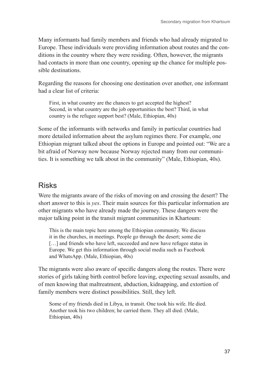<span id="page-36-0"></span>Many informants had family members and friends who had already migrated to Europe. These individuals were providing information about routes and the conditions in the country where they were residing. Often, however, the migrants had contacts in more than one country, opening up the chance for multiple possible destinations.

Regarding the reasons for choosing one destination over another, one informant had a clear list of criteria:

First, in what country are the chances to get accepted the highest? Second, in what country are the job opportunities the best? Third, in what country is the refugee support best? (Male, Ethiopian, 40s)

Some of the informants with networks and family in particular countries had more detailed information about the asylum regimes there. For example, one Ethiopian migrant talked about the options in Europe and pointed out: "We are a bit afraid of Norway now because Norway rejected many from our communities. It is something we talk about in the community" (Male, Ethiopian, 40s).

## Risks

Were the migrants aware of the risks of moving on and crossing the desert? The short answer to this is *yes*. Their main sources for this particular information are other migrants who have already made the journey. These dangers were the major talking point in the transit migrant communities in Khartoum:

This is the main topic here among the Ethiopian community. We discuss it in the churches, in meetings. People go through the desert; some die [...] and friends who have left, succeeded and now have refugee status in Europe. We get this information through social media such as Facebook and WhatsApp. (Male, Ethiopian, 40s)

The migrants were also aware of specific dangers along the routes. There were stories of girls taking birth control before leaving, expecting sexual assaults, and of men knowing that maltreatment, abduction, kidnapping, and extortion of family members were distinct possibilities. Still, they left.

Some of my friends died in Libya, in transit. One took his wife. He died. Another took his two children; he carried them. They all died. (Male, Ethiopian, 40s)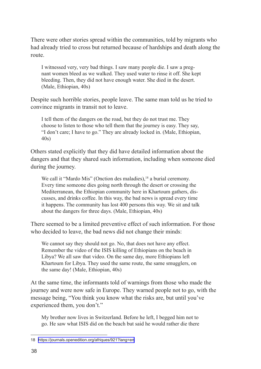There were other stories spread within the communities, told by migrants who had already tried to cross but returned because of hardships and death along the route.

I witnessed very, very bad things. I saw many people die. I saw a pregnant women bleed as we walked. They used water to rinse it off. She kept bleeding. Then, they did not have enough water. She died in the desert. (Male, Ethiopian, 40s)

Despite such horrible stories, people leave. The same man told us he tried to convince migrants in transit not to leave.

I tell them of the dangers on the road, but they do not trust me. They choose to listen to those who tell them that the journey is easy. They say, "I don't care; I have to go." They are already locked in. (Male, Ethiopian, 40s)

Others stated explicitly that they did have detailed information about the dangers and that they shared such information, including when someone died during the journey.

We call it "Mardo Mis" (Onction des maladies), <sup>18</sup> a burial ceremony. Every time someone dies going north through the desert or crossing the Mediterranean, the Ethiopian community here in Khartoum gathers, discusses, and drinks coffee. In this way, the bad news is spread every time it happens. The community has lost 400 persons this way. We sit and talk about the dangers for three days. (Male, Ethiopian, 40s)

There seemed to be a limited preventive effect of such information. For those who decided to leave, the bad news did not change their minds:

We cannot say they should not go. No, that does not have any effect. Remember the video of the ISIS killing of Ethiopians on the beach in Libya? We all saw that video. On the same day, more Ethiopians left Khartoum for Libya. They used the same route, the same smugglers, on the same day! (Male, Ethiopian, 40s)

At the same time, the informants told of warnings from those who made the journey and were now safe in Europe. They warned people not to go, with the message being, "You think you know what the risks are, but until you've experienced them, you don't."

My brother now lives in Switzerland. Before he left, I begged him not to go. He saw what ISIS did on the beach but said he would rather die there

<sup>18</sup> <https://journals.openedition.org/afriques/921?lang=en>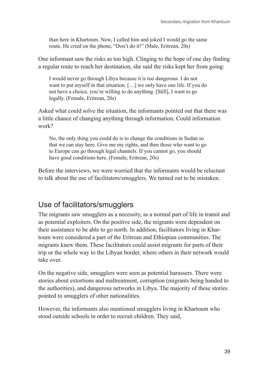<span id="page-38-0"></span>than here in Khartoum. Now, I called him and joked I would go the same route. He cried on the phone, "Don't do it!" (Male, Eritrean, 20s)

One informant saw the risks as too high. Clinging to the hope of one day finding a regular route to reach her destination, she said the risks kept her from going:

I would never go through Libya because it is too dangerous. I do not want to put myself in that situation. […] we only have one life. If you do not have a choice, you're willing to do anything. [Still], I want to go legally. (Female, Eritrean, 20s)

Asked what could solve the situation, the informants pointed out that there was a little chance of changing anything through information. Could information work?

No, the only thing you could do is to change the conditions in Sudan so that we can stay here. Give me my rights, and then those who want to go to Europe can go through legal channels. If you cannot go, you should have good conditions here. (Female, Eritrean, 20s)

Before the interviews, we were worried that the informants would be reluctant to talk about the use of facilitators/smugglers. We turned out to be mistaken.

## Use of facilitators/smugglers

The migrants saw smugglers as a necessity, as a normal part of life in transit and as potential exploiters. On the positive side, the migrants were dependent on their assistance to be able to go north. In addition, facilitators living in Khartoum were considered a part of the Eritrean and Ethiopian communities. The migrants knew them. These facilitators could assist migrants for parts of their trip or the whole way to the Libyan border, where others in their network would take over.

On the negative side, smugglers were seen as potential harassers. There were stories about extortions and maltreatment, corruption (migrants being handed to the authorities), and dangerous networks in Libya. The majority of these stories pointed to smugglers of other nationalities.

However, the informants also mentioned smugglers living in Khartoum who stood outside schools in order to recruit children. They said,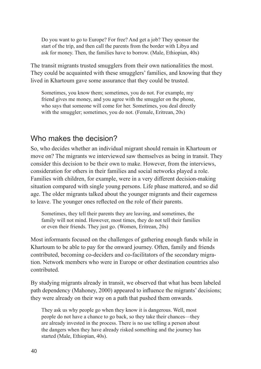<span id="page-39-0"></span>Do you want to go to Europe? For free? And get a job? They sponsor the start of the trip, and then call the parents from the border with Libya and ask for money. Then, the families have to borrow. (Male, Ethiopian, 40s)

The transit migrants trusted smugglers from their own nationalities the most. They could be acquainted with these smugglers' families, and knowing that they lived in Khartoum gave some assurance that they could be trusted.

Sometimes, you know them; sometimes, you do not. For example, my friend gives me money, and you agree with the smuggler on the phone, who says that someone will come for her. Sometimes, you deal directly with the smuggler; sometimes, you do not. (Female, Eritrean, 20s)

## Who makes the decision?

So, who decides whether an individual migrant should remain in Khartoum or move on? The migrants we interviewed saw themselves as being in transit. They consider this decision to be their own to make. However, from the interviews, consideration for others in their families and social networks played a role. Families with children, for example, were in a very different decision-making situation compared with single young persons. Life phase mattered, and so did age. The older migrants talked about the younger migrants and their eagerness to leave. The younger ones reflected on the role of their parents.

Sometimes, they tell their parents they are leaving, and sometimes, the family will not mind. However, most times, they do not tell their families or even their friends. They just go. (Women, Eritrean, 20s)

Most informants focused on the challenges of gathering enough funds while in Khartoum to be able to pay for the onward journey. Often, family and friends contributed, becoming co-deciders and co-facilitators of the secondary migration. Network members who were in Europe or other destination countries also contributed.

By studying migrants already in transit, we observed that what has been labeled path dependency (Mahoney, 2000) appeared to influence the migrants' decisions; they were already on their way on a path that pushed them onwards.

They ask us why people go when they know it is dangerous. Well, most people do not have a chance to go back, so they take their chances—they are already invested in the process. There is no use telling a person about the dangers when they have already risked something and the journey has started (Male, Ethiopian, 40s).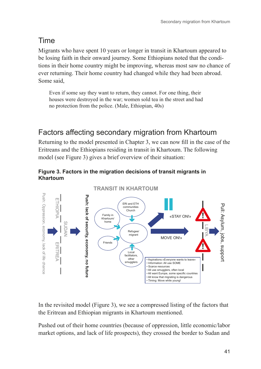# <span id="page-40-0"></span>Time

Migrants who have spent 10 years or longer in transit in Khartoum appeared to be losing faith in their onward journey. Some Ethiopians noted that the conditions in their home country might be improving, whereas most saw no chance of ever returning. Their home country had changed while they had been abroad. Some said,

Even if some say they want to return, they cannot. For one thing, their houses were destroyed in the war; women sold tea in the street and had no protection from the police. (Male, Ethiopian, 40s)

# Factors affecting secondary migration from Khartoum

Returning to the model presented in Chapter 3, we can now fill in the case of the Eritreans and the Ethiopians residing in transit in Khartoum. The following model (see Figure 3) gives a brief overview of their situation:





In the revisited model (Figure 3), we see a compressed listing of the factors that the Eritrean and Ethiopian migrants in Khartoum mentioned.

Pushed out of their home countries (because of oppression, little economic/labor market options, and lack of life prospects), they crossed the border to Sudan and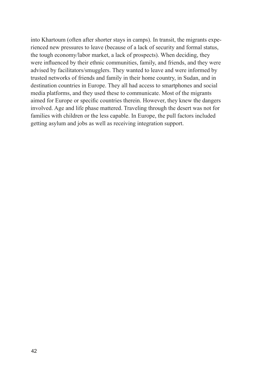into Khartoum (often after shorter stays in camps). In transit, the migrants experienced new pressures to leave (because of a lack of security and formal status, the tough economy/labor market, a lack of prospects). When deciding, they were influenced by their ethnic communities, family, and friends, and they were advised by facilitators/smugglers. They wanted to leave and were informed by trusted networks of friends and family in their home country, in Sudan, and in destination countries in Europe. They all had access to smartphones and social media platforms, and they used these to communicate. Most of the migrants aimed for Europe or specific countries therein. However, they knew the dangers involved. Age and life phase mattered. Traveling through the desert was not for families with children or the less capable. In Europe, the pull factors included getting asylum and jobs as well as receiving integration support.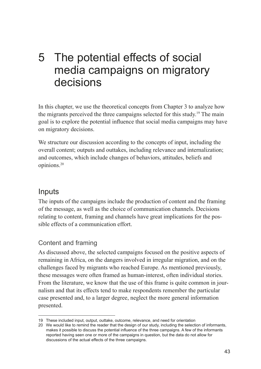# <span id="page-42-0"></span>5 The potential effects of social media campaigns on migratory decisions

In this chapter, we use the theoretical concepts from Chapter 3 to analyze how the migrants perceived the three campaigns selected for this study. 19 The main goal is to explore the potential influence that social media campaigns may have on migratory decisions.

We structure our discussion according to the concepts of input, including the overall content; outputs and outtakes, including relevance and internalization; and outcomes, which include changes of behaviors, attitudes, beliefs and opinions.20

## Inputs

The inputs of the campaigns include the production of content and the framing of the message, as well as the choice of communication channels. Decisions relating to content, framing and channels have great implications for the possible effects of a communication effort.

## Content and framing

As discussed above, the selected campaigns focused on the positive aspects of remaining in Africa, on the dangers involved in irregular migration, and on the challenges faced by migrants who reached Europe. As mentioned previously, these messages were often framed as human-interest, often individual stories. From the literature, we know that the use of this frame is quite common in journalism and that its effects tend to make respondents remember the particular case presented and, to a larger degree, neglect the more general information presented.

<sup>19</sup> These included input, output, outtake, outcome, relevance, and need for orientation

<sup>20</sup> We would like to remind the reader that the design of our study, including the selection of informants, makes it possible to discuss the potential influence of the three campaigns. A few of the informants reported having seen one or more of the campaigns in question, but the data do not allow for discussions of the actual effects of the three campaigns.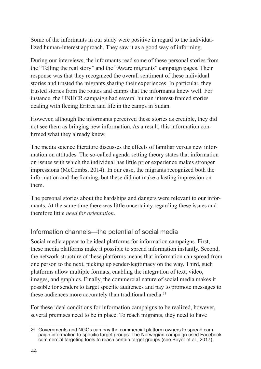<span id="page-43-0"></span>Some of the informants in our study were positive in regard to the individualized human-interest approach. They saw it as a good way of informing.

During our interviews, the informants read some of these personal stories from the "Telling the real story" and the "Aware migrants" campaign pages. Their response was that they recognized the overall sentiment of these individual stories and trusted the migrants sharing their experiences. In particular, they trusted stories from the routes and camps that the informants knew well. For instance, the UNHCR campaign had several human interest-framed stories dealing with fleeing Eritrea and life in the camps in Sudan.

However, although the informants perceived these stories as credible, they did not see them as bringing new information. As a result, this information confirmed what they already knew.

The media science literature discusses the effects of familiar versus new information on attitudes. The so-called agenda setting theory states that information on issues with which the individual has little prior experience makes stronger impressions (McCombs, 2014). In our case, the migrants recognized both the information and the framing, but these did not make a lasting impression on them.

The personal stories about the hardships and dangers were relevant to our informants. At the same time there was little uncertainty regarding these issues and therefore little *need for orientation*.

### Information channels—the potential of social media

Social media appear to be ideal platforms for information campaigns. First, these media platforms make it possible to spread information instantly. Second, the network structure of these platforms means that information can spread from one person to the next, picking up sender-legitimacy on the way. Third, such platforms allow multiple formats, enabling the integration of text, video, images, and graphics. Finally, the commercial nature of social media makes it possible for senders to target specific audiences and pay to promote messages to these audiences more accurately than traditional media.<sup>21</sup>

For these ideal conditions for information campaigns to be realized, however, several premises need to be in place. To reach migrants, they need to have

<sup>21</sup> Governments and NGOs can pay the commercial platform owners to spread cam- paign information to specific target groups. The Norwegian campaign used Facebook commercial targeting tools to reach certain target groups (see Beyer et al., 2017).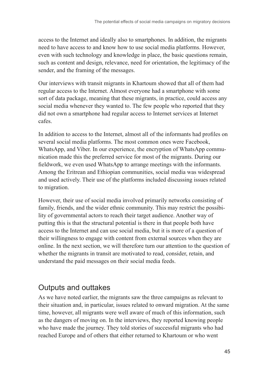<span id="page-44-0"></span>access to the Internet and ideally also to smartphones. In addition, the migrants need to have access to and know how to use social media platforms. However, even with such technology and knowledge in place, the basic questions remain, such as content and design, relevance, need for orientation, the legitimacy of the sender, and the framing of the messages.

Our interviews with transit migrants in Khartoum showed that all of them had regular access to the Internet. Almost everyone had a smartphone with some sort of data package, meaning that these migrants, in practice, could access any social media whenever they wanted to. The few people who reported that they did not own a smartphone had regular access to Internet services at Internet cafes.

In addition to access to the Internet, almost all of the informants had profiles on several social media platforms. The most common ones were Facebook, WhatsApp, and Viber. In our experience, the encryption of WhatsApp communication made this the preferred service for most of the migrants. During our fieldwork, we even used WhatsApp to arrange meetings with the informants. Among the Eritrean and Ethiopian communities, social media was widespread and used actively. Their use of the platforms included discussing issues related to migration.

However, their use of social media involved primarily networks consisting of family, friends, and the wider ethnic community. This may restrict the possibility of governmental actors to reach their target audience. Another way of putting this is that the structural potential is there in that people both have access to the Internet and can use social media, but it is more of a question of their willingness to engage with content from external sources when they are online. In the next section, we will therefore turn our attention to the question of whether the migrants in transit are motivated to read, consider, retain, and understand the paid messages on their social media feeds.

## Outputs and outtakes

As we have noted earlier, the migrants saw the three campaigns as relevant to their situation and, in particular, issues related to onward migration. At the same time, however, all migrants were well aware of much of this information, such as the dangers of moving on. In the interviews, they reported knowing people who have made the journey. They told stories of successful migrants who had reached Europe and of others that either returned to Khartoum or who went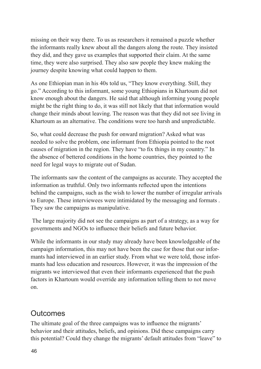<span id="page-45-0"></span>missing on their way there. To us as researchers it remained a puzzle whether the informants really knew about all the dangers along the route. They insisted they did, and they gave us examples that supported their claim. At the same time, they were also surprised. They also saw people they knew making the journey despite knowing what could happen to them.

As one Ethiopian man in his 40s told us, "They know everything. Still, they go." According to this informant, some young Ethiopians in Khartoum did not know enough about the dangers. He said that although informing young people might be the right thing to do, it was still not likely that that information would change their minds about leaving. The reason was that they did not see living in Khartoum as an alternative. The conditions were too harsh and unpredictable.

So, what could decrease the push for onward migration? Asked what was needed to solve the problem, one informant from Ethiopia pointed to the root causes of migration in the region. They have "to fix things in my country." In the absence of bettered conditions in the home countries, they pointed to the need for legal ways to migrate out of Sudan.

The informants saw the content of the campaigns as accurate. They accepted the information as truthful. Only two informants reflected upon the intentions behind the campaigns, such as the wish to lower the number of irregular arrivals to Europe. These interviewees were intimidated by the messaging and formats . They saw the campaigns as manipulative.

 The large majority did not see the campaigns as part of a strategy, as a way for governments and NGOs to influence their beliefs and future behavior.

While the informants in our study may already have been knowledgeable of the campaign information, this may not have been the case for those that our informants had interviewed in an earlier study. From what we were told, those informants had less education and resources. However, it was the impression of the migrants we interviewed that even their informants experienced that the push factors in Khartoum would override any information telling them to not move on.

## Outcomes

The ultimate goal of the three campaigns was to influence the migrants' behavior and their attitudes, beliefs, and opinions. Did these campaigns carry this potential? Could they change the migrants' default attitudes from "leave" to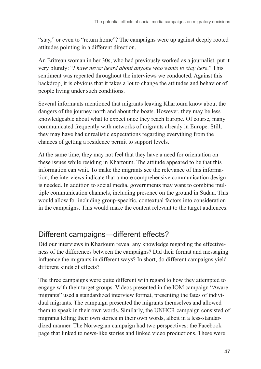<span id="page-46-0"></span>"stay," or even to "return home"? The campaigns were up against deeply rooted attitudes pointing in a different direction.

An Eritrean woman in her 30s, who had previously worked as a journalist, put it very bluntly: "*I have never heard about anyone who wants to stay here*." This sentiment was repeated throughout the interviews we conducted. Against this backdrop, it is obvious that it takes a lot to change the attitudes and behavior of people living under such conditions.

Several informants mentioned that migrants leaving Khartoum know about the dangers of the journey north and about the boats. However, they may be less knowledgeable about what to expect once they reach Europe. Of course, many communicated frequently with networks of migrants already in Europe. Still, they may have had unrealistic expectations regarding everything from the chances of getting a residence permit to support levels.

At the same time, they may not feel that they have a need for orientation on these issues while residing in Khartoum. The attitude appeared to be that this information can wait. To make the migrants see the relevance of this information, the interviews indicate that a more comprehensive communication design is needed. In addition to social media, governments may want to combine multiple communication channels, including presence on the ground in Sudan. This would allow for including group-specific, contextual factors into consideration in the campaigns. This would make the content relevant to the target audiences.

## Different campaigns—different effects?

Did our interviews in Khartoum reveal any knowledge regarding the effectiveness of the differences between the campaigns? Did their format and messaging influence the migrants in different ways? In short, do different campaigns yield different kinds of effects?

The three campaigns were quite different with regard to how they attempted to engage with their target groups. Videos presented in the IOM campaign "Aware migrants" used a standardized interview format, presenting the fates of individual migrants. The campaign presented the migrants themselves and allowed them to speak in their own words. Similarly, the UNHCR campaign consisted of migrants telling their own stories in their own words, albeit in a less-standardized manner. The Norwegian campaign had two perspectives: the Facebook page that linked to news-like stories and linked video productions. These were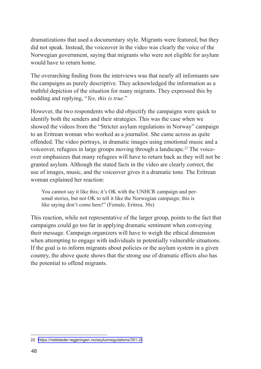dramatizations that used a documentary style. Migrants were featured, but they did not speak. Instead, the voiceover in the video was clearly the voice of the Norwegian government, saying that migrants who were not eligible for asylum would have to return home.

The overarching finding from the interviews was that nearly all informants saw the campaigns as purely descriptive. They acknowledged the information as a truthful depiction of the situation for many migrants. They expressed this by nodding and replying, "*Yes, this is true*."

However, the two respondents who did objectify the campaigns were quick to identify both the senders and their strategies. This was the case when we showed the videos from the "Stricter asylum regulations in Norway" campaign to an Eritrean woman who worked as a journalist. She came across as quite offended. The video portrays, in dramatic images using emotional music and a voiceover, refugees in large groups moving through a landscape.<sup>22</sup> The voiceover emphasizes that many refugees will have to return back as they will not be granted asylum. Although the stated facts in the video are clearly correct, the use of images, music, and the voiceover gives it a dramatic tone. The Eritrean woman explained her reaction:

You cannot say it like this; it's OK with the UNHCR campaign and personal stories, but not OK to tell it like the Norwegian campaign; this is like saying don't come here!" (Female, Eritrea, 30s)

This reaction, while not representative of the larger group, points to the fact that campaigns could go too far in applying dramatic sentiment when conveying their message. Campaign organizers will have to weigh the ethical dimension when attempting to engage with individuals in potentially vulnerable situations. If the goal is to inform migrants about policies or the asylum system in a given country, the above quote shows that the strong use of dramatic effects also has the potential to offend migrants.

<sup>22</sup> <https://nettsteder.regjeringen.no/asylumregulations/351-2/>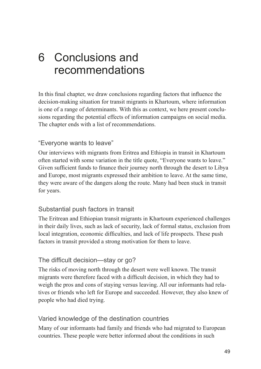# <span id="page-48-0"></span>6 Conclusions and recommendations

In this final chapter, we draw conclusions regarding factors that influence the decision-making situation for transit migrants in Khartoum, where information is one of a range of determinants. With this as context, we here present conclusions regarding the potential effects of information campaigns on social media. The chapter ends with a list of recommendations.

#### "Everyone wants to leave"

Our interviews with migrants from Eritrea and Ethiopia in transit in Khartoum often started with some variation in the title quote, "Everyone wants to leave." Given sufficient funds to finance their journey north through the desert to Libya and Europe, most migrants expressed their ambition to leave. At the same time, they were aware of the dangers along the route. Many had been stuck in transit for years.

#### Substantial push factors in transit

The Eritrean and Ethiopian transit migrants in Khartoum experienced challenges in their daily lives, such as lack of security, lack of formal status, exclusion from local integration, economic difficulties, and lack of life prospects. These push factors in transit provided a strong motivation for them to leave.

#### The difficult decision—stay or go?

The risks of moving north through the desert were well known. The transit migrants were therefore faced with a difficult decision, in which they had to weigh the pros and cons of staying versus leaving. All our informants had relatives or friends who left for Europe and succeeded. However, they also knew of people who had died trying.

#### Varied knowledge of the destination countries

Many of our informants had family and friends who had migrated to European countries. These people were better informed about the conditions in such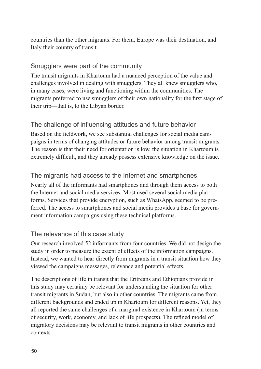<span id="page-49-0"></span>countries than the other migrants. For them, Europe was their destination, and Italy their country of transit.

### Smugglers were part of the community

The transit migrants in Khartoum had a nuanced perception of the value and challenges involved in dealing with smugglers. They all knew smugglers who, in many cases, were living and functioning within the communities. The migrants preferred to use smugglers of their own nationality for the first stage of their trip—that is, to the Libyan border.

### The challenge of influencing attitudes and future behavior

Based on the fieldwork, we see substantial challenges for social media campaigns in terms of changing attitudes or future behavior among transit migrants. The reason is that their need for orientation is low, the situation in Khartoum is extremely difficult, and they already possess extensive knowledge on the issue.

### The migrants had access to the Internet and smartphones

Nearly all of the informants had smartphones and through them access to both the Internet and social media services. Most used several social media platforms. Services that provide encryption, such as WhatsApp, seemed to be preferred. The access to smartphones and social media provides a base for government information campaigns using these technical platforms.

#### The relevance of this case study

Our research involved 52 informants from four countries. We did not design the study in order to measure the extent of effects of the information campaigns. Instead, we wanted to hear directly from migrants in a transit situation how they viewed the campaigns messages, relevance and potential effects.

The descriptions of life in transit that the Eritreans and Ethiopians provide in this study may certainly be relevant for understanding the situation for other transit migrants in Sudan, but also in other countries. The migrants came from different backgrounds and ended up in Khartoum for different reasons. Yet, they all reported the same challenges of a marginal existence in Khartoum (in terms of security, work, economy, and lack of life prospects). The refined model of migratory decisions may be relevant to transit migrants in other countries and contexts.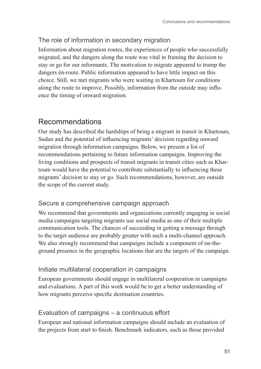## <span id="page-50-0"></span>The role of information in secondary migration

Information about migration routes, the experiences of people who successfully migrated, and the dangers along the route was vital in framing the decision to stay or go for our informants. The motivation to migrate appeared to trump the dangers én-route. Public information appeared to have little impact on this choice. Still, we met migrants who were waiting in Khartoum for conditions along the route to improve. Possibly, information from the outside may influence the timing of onward migration.

## Recommendations

Our study has described the hardships of being a migrant in transit in Khartoum, Sudan and the potential of influencing migrants' decision regarding onward migration through information campaigns. Below, we present a list of recommendations pertaining to future information campaigns. Improving the living conditions and prospects of transit migrants in transit cities such as Khartoum would have the potential to contribute substantially to influencing these migrants' decision to stay or go. Such recommendations, however, are outside the scope of the current study.

### Secure a comprehensive campaign approach

We recommend that governments and organizations currently engaging in social media campaigns targeting migrants use social media as one of their multiple communication tools. The chances of succeeding in getting a message through to the target audience are probably greater with such a multi-channel approach. We also strongly recommend that campaigns include a component of on-theground presence in the geographic locations that are the targets of the campaign.

### Initiate multilateral cooperation in campaigns

European governments should engage in multilateral cooperation in campaigns and evaluations. A part of this work would be to get a better understanding of how migrants perceive specific destination countries.

### Evaluation of campaigns – a continuous effort

European and national information campaigns should include an evaluation of the projects from start to finish. Benchmark indicators, such as those provided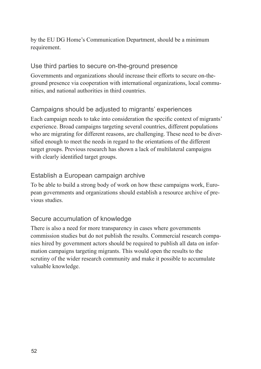<span id="page-51-0"></span>by the EU DG Home's Communication Department, should be a minimum requirement.

#### Use third parties to secure on-the-ground presence

Governments and organizations should increase their efforts to secure on-theground presence via cooperation with international organizations, local communities, and national authorities in third countries.

### Campaigns should be adjusted to migrants' experiences

Each campaign needs to take into consideration the specific context of migrants' experience. Broad campaigns targeting several countries, different populations who are migrating for different reasons, are challenging. These need to be diversified enough to meet the needs in regard to the orientations of the different target groups. Previous research has shown a lack of multilateral campaigns with clearly identified target groups.

### Establish a European campaign archive

To be able to build a strong body of work on how these campaigns work, European governments and organizations should establish a resource archive of previous studies.

### Secure accumulation of knowledge

There is also a need for more transparency in cases where governments commission studies but do not publish the results. Commercial research companies hired by government actors should be required to publish all data on information campaigns targeting migrants. This would open the results to the scrutiny of the wider research community and make it possible to accumulate valuable knowledge.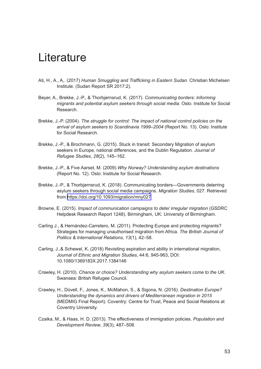# <span id="page-52-0"></span>Literature

- Ati, H., A., A,. (2017) *Human Smuggling and Trafficking in Eastern Sudan*. Christian Michelsen Institute. (Sudan Report SR 2017:2).
- Beyer, A., Brekke, J.-P., & Thorbjørnsrud, K. (2017). *Communicating borders: Informing migrants and potential asylum seekers through social media.* Oslo: Institute for Social Research.
- Brekke, J.-P. (2004). *The struggle for control: The impact of national control policies on the arrival of asylum seekers to Scandinavia 1999–2004* (Report No. 13). Oslo: Institute for Social Research.
- Brekke, J.-P., & Brochmann, G. (2015). Stuck in transit: Secondary Migration of asylum seekers in Europe, national differences, and the Dublin Regulation. *Journal of Refugee Studies*, *28*(2), 145–162.
- Brekke, J.-P., & Five Aarset, M. (2009).*Why Norway? Understanding asylum destinations* (Report No. 12). Oslo: Institute for Social Research.
- Brekke, J.-P., & Thorbjørnsrud, K. (2018). Communicating borders—Governments deterring asylum seekers through social media campaigns. *Migration Studies*, 027. Retrieved from <https://doi.org/10.1093/migration/mny027>
- Browne, E. (2015). *Impact of communication campaigns to deter irregular migration* (GSDRC Helpdesk Research Report 1248)*.* Birmingham, UK: University of Birmingham.
- Carling J., & Hernández-Carretero, M. (2011). Protecting Europe and protecting migrants? Strategies for managing unauthorised migration from Africa. *The British Journal of Politics & International Relations*, *13*(1), 42–58.
- Carling, J.,& Schewel, K. (2018) Revisiting aspiration and ability in international migration, *Journal of Ethnic and Migration Studies*, 44:6, 945-963, DOI: 10.1080/1369183X.2017.1384146
- Crawley, H. (2010). *Chance or choice? Understanding why asylum seekers come to the UK*. Swansea: British Refugee Council.
- Crawley, H., Düvell, F., Jones, K., McMahon, S., & Sigona, N. (2016). *Destination Europe? Understanding the dynamics and drivers of Mediterranean migration in 2015*  (MEDMIG Final Report). Coventry: Centre for Trust, Peace and Social Relations at Coventry University.
- Czaika, M., & Haas, H. D. (2013). The effectiveness of immigration policies. *Population and Development Review*, *39*(3), 487–508.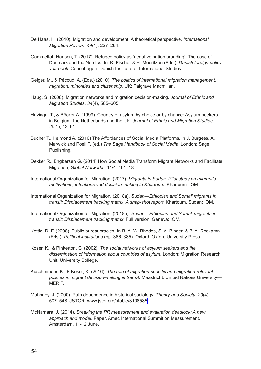- De Haas, H. (2010). Migration and development: A theoretical perspective. *International Migration Review*, *44*(1), 227–264.
- Gammeltoft-Hansen, T. (2017). Refugee policy as 'negative nation branding': The case of Denmark and the Nordics. In: K. Fischer & H. Mouritzen (Eds.), *Danish foreign policy yearbook.* Copenhagen: Danish Institute for International Studies.
- Geiger, M., & Pécoud, A. (Eds.) (2010). *The politics of international migration management, migration, minorities and citizenship*. UK: Palgrave Macmillan.
- Haug, S. (2008). Migration networks and migration decision-making. *Journal of Ethnic and Migration Studies*, *34*(4), 585–605.
- Havinga, T., & Böcker A. (1999). Country of asylum by choice or by chance: Asylum-seekers in Belgium, the Netherlands and the UK. *Journal of Ethnic and Migration Studies*, *25*(1), 43–61.
- Bucher T., Helmond A. (2016) The Affordances of Social Media Platforms, in J. Burgess, A. Marwick and Poell T. (ed.) *The Sage Handbook of Social Media*. London: Sage Publishing.
- Dekker R., Engbersen G. (2014) How Social Media Transform Migrant Networks and Facilitate Migration, *Global Networks*, 14/4: 401–18.
- International Organization for Migration. (2017). *Migrants in Sudan. Pilot study on migrant's motivations, intentions and decision-making in Khartoum*. Khartoum: IOM.
- International Organization for Migration. (2018a). *Sudan—Ethiopian and Somali migrants in transit: Displacement tracking matrix. A snap-shot report.* Khartoum, Sudan: IOM.
- International Organization for Migration. (2018b). *Sudan—Ethiopian and Somali migrants in transit: Displacement tracking matrix.* Full version. Geneva: IOM.
- Kettle, D. F. (2008). Public bureaucracies. In R. A. W. Rhodes, S. A. Binder, & B. A. Rockamn (Eds.), *Political institutions* (pp. 366–385). Oxford: Oxford University Press.
- Koser, K., & Pinkerton, C. (2002). *The social networks of asylum seekers and the dissemination of information about countries of asylum*. London: Migration Research Unit, University College.
- Kuschminder, K., & Koser, K. (2016). *The role of migration-specific and migration-relevant policies in migrant decision-making in transit.* Maastricht: United Nations University— MERIT.
- Mahoney, J. (2000). Path dependence in historical sociology. *Theory and Society*, *29*(4), 507–548. JSTOR, [www.jstor.org/stable/3108585](http://www.jstor.org/stable/3108585).
- McNamara, J. (2014). *Breaking the PR measurement and evaluation deadlock: A new approach and model*. Paper. Amec International Summit on Measurement. Amsterdam. 11-12 June.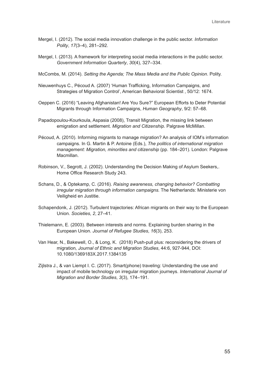- Mergel, I. (2012). The social media innovation challenge in the public sector. *Information Polity*, *17*(3–4), 281–292.
- Mergel, I. (2013). A framework for interpreting social media interactions in the public sector. *Government Information Quarterly*, *30*(4), 327–334.
- McCombs, M. (2014). *Setting the Agenda; The Mass Media and the Public Opinion*. Polity.
- Nieuwenhuys C., Pécoud A. (2007) 'Human Trafficking, Information Campaigns, and Strategies of Migration Control', American Behavioral Scientist , 50/12: 1674.
- Oeppen C. (2016) "Leaving Afghanistan! Are You Sure?" European Efforts to Deter Potential Migrants through Information Campaigns, *Human Geography*, 9/2: 57–68.
- Papadopoulou-Kourkoula, Aspasia (2008), Transit Migration, the missing link between emigration and settlement. *Migration and Citizenship*. Palgrave McMillan.
- Pécoud, A. (2010). Informing migrants to manage migration? An analysis of IOM's information campaigns. In G. Martin & P. Antoine (Eds.), *The politics of international migration management: Migration, minorities and citizenship* (pp. 184–201). London: Palgrave Macmillan.
- Robinson, V., Segrott, J. (2002). Understanding the Decision Making of Asylum Seekers,. Home Office Research Study 243.
- Schans, D., & Optekamp, C. (2016). *Raising awareness, changing behavior? Combatting irregular migration through information campaigns.* The Netherlands: Ministerie von Veiligheid en Justitie.
- Schapendonk, J. (2012). Turbulent trajectories: African migrants on their way to the European Union. *Societies*, *2*, 27–41.
- Thielemann, E. (2003). Between interests and norms. Explaining burden sharing in the European Union. *Journal of Refugee Studies*, *16*(3), 253.
- Van Hear, N., Bakewell, O., & Long, K. (2018) Push-pull plus: reconsidering the drivers of migration*, Journal of Ethnic and Migration Studies*, 44:6, 927-944, DOI: 10.1080/1369183X.2017.1384135
- Zijlstra J., & van Liempt I. C. (2017). Smart(phone) traveling: Understanding the use and impact of mobile technology on irregular migration journeys. *International Journal of Migration and Border Studies*, *3*(3), 174–191.